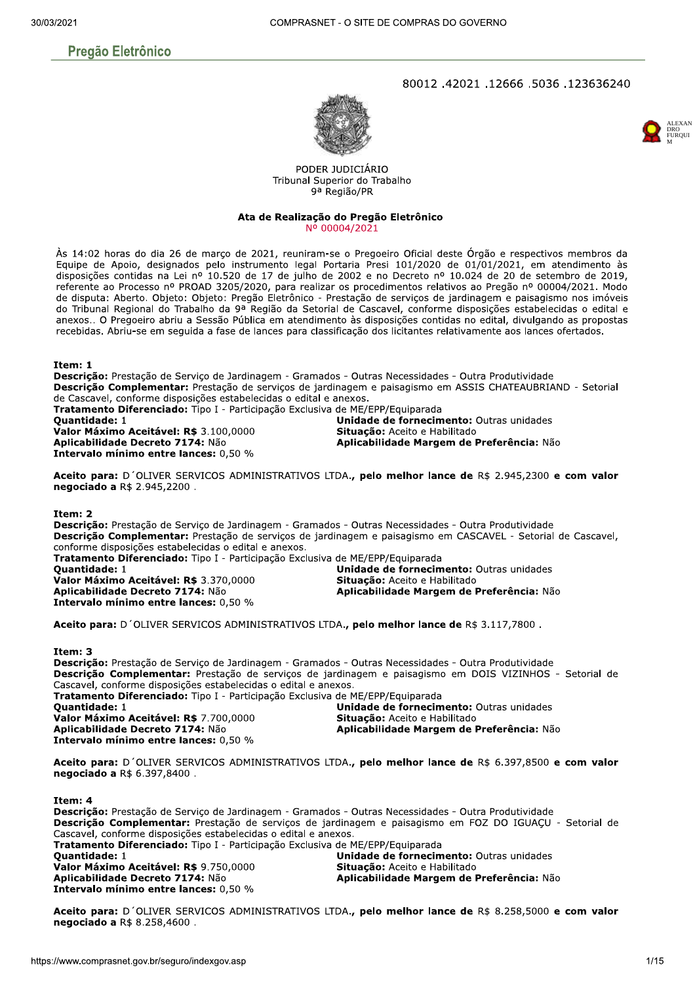# **Pregão Eletrônico**

# 80012.42021.12666.5036.123636240





PODER JUDICIÁRIO Tribunal Superior do Trabalho 9ª Região/PR

#### Ata de Realização do Pregão Eletrônico Nº 00004/2021

Às 14:02 horas do dia 26 de marco de 2021, reuniram-se o Pregoeiro Oficial deste Órgão e respectivos membros da Equipe de Apoio, designados pelo instrumento legal Portaria Presi 101/2020 de 01/01/2021, em atendimento às disposições contidas na Lei nº 10.520 de 17 de julho de 2002 e no Decreto nº 10.024 de 20 de setembro de 2019, referente ao Processo nº PROAD 3205/2020, para realizar os procedimentos relativos ao Pregão nº 00004/2021. Modo de disputa: Aberto. Objeto: Objeto: Pregão Eletrônico - Prestação de serviços de jardinagem e paisagismo nos imóveis do Tribunal Regional do Trabalho da 9ª Região da Setorial de Cascavel, conforme disposições estabelecidas o edital e anexos.. O Pregoeiro abriu a Sessão Pública em atendimento às disposições contidas no edital, divulgando as propostas recebidas. Abriu-se em seguida a fase de lances para classificação dos licitantes relativamente aos lances ofertados.

#### Item: 1

Descrição: Prestação de Serviço de Jardinagem - Gramados - Outras Necessidades - Outra Produtividade Descrição Complementar: Prestação de serviços de jardinagem e paisagismo em ASSIS CHATEAUBRIAND - Setorial de Cascavel, conforme disposições estabelecidas o edital e anexos. Tratamento Diferenciado: Tipo I - Participação Exclusiva de ME/EPP/Equiparada **Ouantidade: 1** Unidade de fornecimento: Outras unidades Valor Máximo Aceitável: R\$ 3.100.0000 Situação: Aceito e Habilitado Aplicabilidade Decreto 7174: Não Aplicabilidade Margem de Preferência: Não Intervalo mínimo entre lances: 0,50 %

Aceito para: D'OLIVER SERVICOS ADMINISTRATIVOS LTDA., pelo melhor lance de R\$ 2.945,2300 e com valor negociado a R\$ 2.945,2200.

#### Ttem: 2

Descrição: Prestação de Serviço de Jardinagem - Gramados - Outras Necessidades - Outra Produtividade Descrição Complementar: Prestação de serviços de jardinagem e paisagismo em CASCAVEL - Setorial de Cascavel, conforme disposições estabelecidas o edital e anexos. Tratamento Diferenciado: Tipo I - Participação Exclusiva de ME/EPP/Equiparada

**Ouantidade: 1** Valor Máximo Aceitável: R\$ 3.370,0000 Aplicabilidade Decreto 7174: Não Intervalo mínimo entre lances: 0,50 %

Unidade de fornecimento: Outras unidades Situação: Aceito e Habilitado Aplicabilidade Margem de Preferência: Não

Aceito para: D'OLIVER SERVICOS ADMINISTRATIVOS LTDA., pelo melhor lance de R\$ 3.117,7800.

#### Item: 3

Descricão: Prestação de Servico de Jardinagem - Gramados - Outras Necessidades - Outra Produtividade Descrição Complementar: Prestação de serviços de jardinagem e paisagismo em DOIS VIZINHOS - Setorial de Cascavel, conforme disposições estabelecidas o edital e anexos. Tratamento Diferenciado: Tipo I - Participação Exclusiva de ME/EPP/Equiparada Unidade de fornecimento: Outras unidades Quantidade: 1 Valor Máximo Aceitável: R\$ 7.700,0000 Situação: Aceito e Habilitado Aplicabilidade Decreto 7174: Não Aplicabilidade Margem de Preferência: Não Intervalo mínimo entre lances: 0,50 %

Aceito para: D'OLIVER SERVICOS ADMINISTRATIVOS LTDA., pelo melhor lance de R\$ 6.397,8500 e com valor negociado a R\$ 6.397,8400.

Item: 4

**Descrição:** Prestação de Serviço de Jardinagem - Gramados - Outras Necessidades - Outra Produtividade Descrição Complementar: Prestação de serviços de jardinagem e paisagismo em FOZ DO IGUAÇU - Setorial de Cascavel, conforme disposições estabelecidas o edital e anexos. Tratamento Diferenciado: Tipo I - Participação Exclusiva de ME/EPP/Equiparada **Ouantidade: 1** Unidade de fornecimento: Outras unidades Valor Máximo Aceitável: R\$ 9.750,0000 Situação: Aceito e Habilitado Aplicabilidade Decreto 7174: Não Aplicabilidade Margem de Preferência: Não Intervalo mínimo entre lances: 0,50 %

Aceito para: D'OLIVER SERVICOS ADMINISTRATIVOS LTDA., pelo melhor lance de R\$ 8.258,5000 e com valor negociado a R\$ 8.258,4600.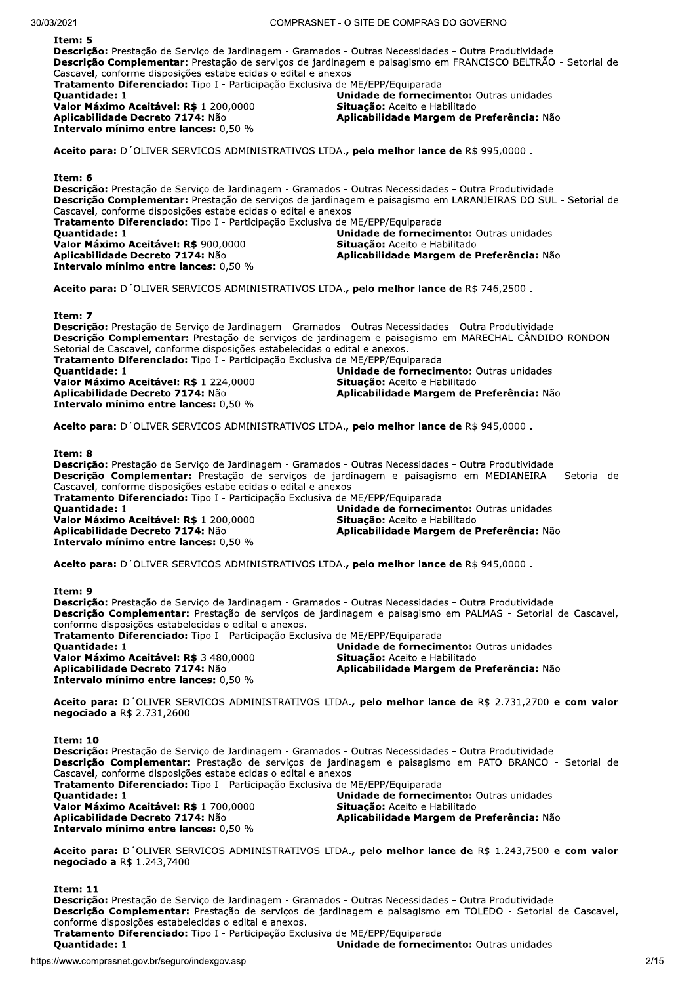$\frac{1}{2}$ **Descrição:** Prestação de Serviço de Jardinagem - Gramados - Outras Necessidades - Outra Produtividade Descrição Complementar: Prestação de serviços de jardinagem e paisagismo em FRANCISCO BELTRÃO - Setorial de Cascavel, conforme disposições estabelecidas o edital e anexos. Tratamento Diferenciado: Tipo I - Participação Exclusiva de ME/EPP/Equiparada<br>Quantidade: 1 Unidade de fornecimento: Outras unidades<br>Situação: Aceito e Habilitado **Valor Máximo Aceitável: R\$** 1.200,0000<br>**Aplicabilidade Decreto 7174:** Não Aplicabilidade Margem de Preferência: Não Intervalo mínimo entre lances:  $0.50\%$ Aceito para: D'OLIVER SERVICOS ADMINISTRATIVOS LTDA., pelo melhor lance de R\$ 995,0000. Item: 6 Descrição: Prestação de Serviço de Jardinagem - Gramados - Outras Necessidades - Outra Produtividade Descrição Complementar: Prestação de serviços de jardinagem e paisagismo em LARANJEIRAS DO SUL - Setorial de Cascavel, conforme disposições estabelecidas o edital e anexos. Tratamento Diferenciado: Tipo I - Participação Exclusiva de ME/EPP/Equiparada<br>Ouantidade: 1 Unidade de fornecimento: Outras unidades<br>Situacão: Aceito e Habilitado Valor Máximo Aceitável: R\$ 900,0000<br>Aplicabilidade Decreto 7174: Não Aplicabilidade Margem de Preferência: Não Intervalo mínimo entre lances:  $0.50\%$ Aceito para: D'OLIVER SERVICOS ADMINISTRATIVOS LTDA., pelo melhor lance de R\$ 746,2500.

Item: 7

Descrição: Prestação de Serviço de Jardinagem - Gramados - Outras Necessidades - Outra Produtividade Descrição Complementar: Prestação de serviços de jardinagem e paisagismo em MARECHAL CÂNDIDO RONDON -Setorial de Cascavel, conforme disposições estabelecidas o edital e anexos. Tratamento Diferenciado: Tipo I - Participação Exclusiva de ME/EPP/Equiparada<br>Quantidade: 1 Unidade de fornecimento: Outras unidades<br>Situacão: Aceito e Habilitado Valor Máximo Aceitável: R\$ 1.224,0000<br>Aplicabilidade Decreto 7174: Não Aplicabilidade Margem de Preferência: Não Intervalo mínimo entre lances:  $0.50\%$ 

Aceito para: D'OLIVER SERVICOS ADMINISTRATIVOS LTDA., pelo melhor lance de R\$ 945,0000.

Item: 8

Descrição: Prestação de Serviço de Jardinagem - Gramados - Outras Necessidades - Outra Produtividade Descrição Complementar: Prestação de serviços de jardinagem e paisagismo em MEDIANEIRA - Setorial de Cascavel, conforme disposições estabelecidas o edital e anexos. **Tratamento Diferenciado:** Tipo I - Participação Exclusiva de ME/EPP/Equiparada<br>Quantidade: 1

Valor Máximo Aceitável: R\$ 1.200,0000<br>Aplicabilidade Decreto 7174: Não Intervalo mínimo entre lances:  $0.50\%$ 

Unidade de fornecimento: Outras unidades<br>Situacão: Aceito e Habilitado Aplicabilidade Margem de Preferência: Não

Aceito para: D'OLIVER SERVICOS ADMINISTRATIVOS LTDA., pelo melhor lance de R\$ 945,0000.

Item: 9

Descrição: Prestação de Serviço de Jardinagem - Gramados - Outras Necessidades - Outra Produtividade Descrição Complementar: Prestação de serviços de jardinagem e paisagismo em PALMAS - Setorial de Cascavel, conforme disposições estabelecidas o edital e anexos. Tratamento Diferenciado: Tipo I - Participação Exclusiva de ME/EPP/Equiparada<br>Quantidade: 1 Unidade de fornecimento: Outras unidades<br>Situação: Aceito e Habilitado Valor Máximo Aceitável: R\$ 3.480,0000<br>Aplicabilidade Decreto 7174: Não Aplicabilidade Margem de Preferência: Não Intervalo mínimo entre lances: 0,50 %

Aceito para: D'OLIVER SERVICOS ADMINISTRATIVOS LTDA., pelo melhor lance de R\$ 2.731,2700 e com valor  $neacciado a R$ 2.731.2600.$ 

Item: 10 Descrição: Prestação de Servico de Jardinagem - Gramados - Outras Necessidades - Outra Produtividade Descrição Complementar: Prestação de serviços de jardinagem e paisagismo em PATO BRANCO - Setorial de Cascavel, conforme disposições estabelecidas o edital e anexos. Tratamento Diferenciado: Tipo I - Participação Exclusiva de ME/EPP/Equiparada<br>Quantidade: 1 Unidade de fornecimento: Outras unidades<br>Situacão: Aceito e Habilitado Valor Máximo Aceitável: R\$ 1.700,0000<br>Aplicabilidade Decreto 7174: Não Aplicabilidade Margem de Preferência: Não Intervalo mínimo entre lances:  $0,50%$ 

Aceito para: D'OLIVER SERVICOS ADMINISTRATIVOS LTDA., pelo melhor lance de R\$ 1.243,7500 e com valor negociado a R\$ 1.243,7400.

 $\mathbf{r}$  =  $\mathbf{r}$ 

o: Prestação de Serviço de Jardinagem - Gramados - Outras Necessidades - Outra Produtividade<br>
o Complementar: Prestação de serviços de jardinagem e paisagismo em TOLEDO - Setorial de Cascavel,<br>
disposições estabelecidas o **Descrição:** Prestação de Serviço de Jardinagem - Gramados - Outras Necessidades - Outra Produtividade Descrição Complementar: Prestação de serviços de jardinagem e paisagismo em TOLEDO - Setorial de Cascavel, conforme disposições estabelecidas o edital e anexos. Tratamento Diferenciado: Tipo I - Participação Exclusiva de ME/EPP/Equiparada<br>Quantidade: 1

Unidade de fornecimento: Outras unidades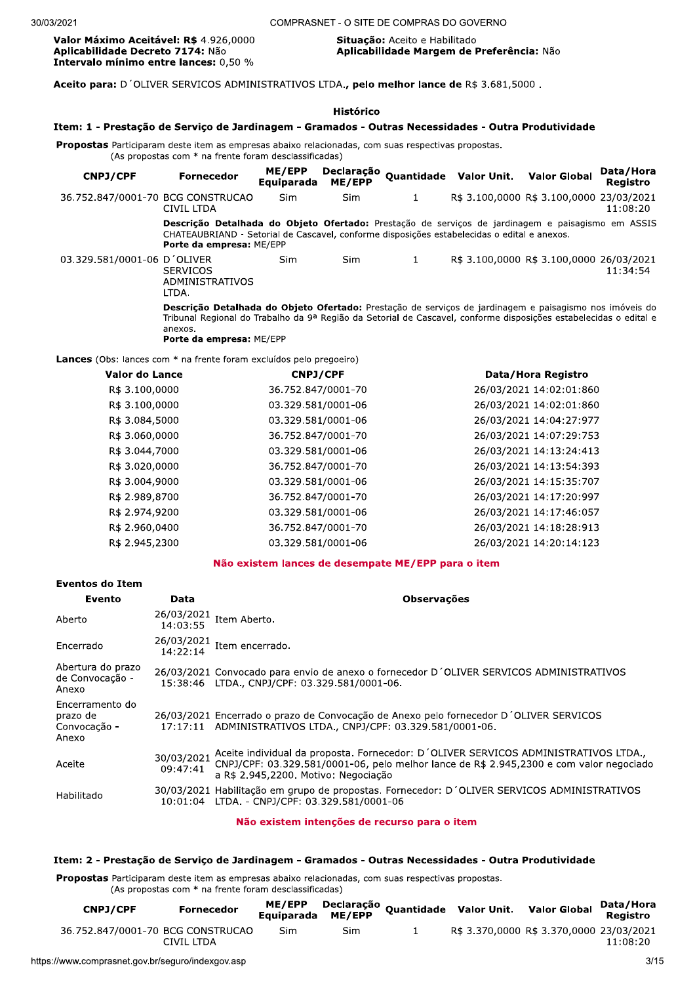Valor Máximo Aceitável: R\$ 4.926,0000 Aplicabilidade Decreto 7174: Não Intervalo mínimo entre lances: 0,50 %

#### Situação: Aceito e Habilitado Aplicabilidade Margem de Preferência: Não

Aceito para: D'OLIVER SERVICOS ADMINISTRATIVOS LTDA., pelo melhor lance de R\$ 3.681,5000.

| Item: 1 - Prestação de Serviço de Jardinagem - Gramados - Outras Necessidades - Outra Produtividade                                                                                                                          |                                                                                                                                                                                                                                                                     |                      | Histórico            |                    |                         |                                          |                       |
|------------------------------------------------------------------------------------------------------------------------------------------------------------------------------------------------------------------------------|---------------------------------------------------------------------------------------------------------------------------------------------------------------------------------------------------------------------------------------------------------------------|----------------------|----------------------|--------------------|-------------------------|------------------------------------------|-----------------------|
| <b>Propostas</b> Participaram deste item as empresas abaixo relacionadas, com suas respectivas propostas.<br>(As propostas com * na frente foram desclassificadas)                                                           |                                                                                                                                                                                                                                                                     |                      |                      |                    |                         |                                          |                       |
| <b>CNPJ/CPF</b>                                                                                                                                                                                                              | <b>Fornecedor</b>                                                                                                                                                                                                                                                   | ME/EPP<br>Equiparada | Declaração<br>ME/EPP |                    | Quantidade Valor Unit.  | <b>Valor Global</b>                      | Data/Hora<br>Registro |
| 36.752.847/0001-70 BCG CONSTRUCAO                                                                                                                                                                                            | CIVIL LTDA                                                                                                                                                                                                                                                          | Sim                  | <b>Sim</b>           | 1                  |                         | R\$ 3.100,0000 R\$ 3.100,0000 23/03/2021 | 11:08:20              |
| Descrição Detalhada do Objeto Ofertado: Prestação de serviços de jardinagem e paisagismo em ASSIS<br>CHATEAUBRIAND - Setorial de Cascavel, conforme disposições estabelecidas o edital e anexos.<br>Porte da empresa: ME/EPP |                                                                                                                                                                                                                                                                     |                      |                      |                    |                         |                                          |                       |
| 03.329.581/0001-06 D'OLIVER                                                                                                                                                                                                  | <b>SERVICOS</b><br>ADMINISTRATIVOS<br>LTDA.                                                                                                                                                                                                                         | <b>Sim</b>           | <b>Sim</b>           | $\mathbf{1}$       |                         | R\$ 3.100,0000 R\$ 3.100,0000 26/03/2021 | 11:34:54              |
|                                                                                                                                                                                                                              | Descrição Detalhada do Objeto Ofertado: Prestação de serviços de jardinagem e paisagismo nos imóveis do<br>Tribunal Regional do Trabalho da 9ª Região da Setorial de Cascavel, conforme disposições estabelecidas o edital e<br>anexos.<br>Porte da empresa: ME/EPP |                      |                      |                    |                         |                                          |                       |
| <b>Lances</b> (Obs: lances com * na frente foram excluídos pelo pregoeiro)                                                                                                                                                   |                                                                                                                                                                                                                                                                     |                      |                      |                    |                         |                                          |                       |
| Valor do Lance                                                                                                                                                                                                               |                                                                                                                                                                                                                                                                     | <b>CNPJ/CPF</b>      |                      | Data/Hora Registro |                         |                                          |                       |
| R\$ 3.100,0000                                                                                                                                                                                                               |                                                                                                                                                                                                                                                                     | 36.752.847/0001-70   |                      |                    | 26/03/2021 14:02:01:860 |                                          |                       |
| R\$ 3.100,0000                                                                                                                                                                                                               |                                                                                                                                                                                                                                                                     | 03.329.581/0001-06   |                      |                    | 26/03/2021 14:02:01:860 |                                          |                       |
| R\$ 3.084,5000                                                                                                                                                                                                               |                                                                                                                                                                                                                                                                     | 03.329.581/0001-06   |                      |                    |                         | 26/03/2021 14:04:27:977                  |                       |
| R\$ 3.060,0000                                                                                                                                                                                                               |                                                                                                                                                                                                                                                                     | 36.752.847/0001-70   |                      |                    |                         | 26/03/2021 14:07:29:753                  |                       |
| R\$ 3.044,7000                                                                                                                                                                                                               |                                                                                                                                                                                                                                                                     | 03.329.581/0001-06   |                      |                    |                         | 26/03/2021 14:13:24:413                  |                       |
| R\$ 3.020,0000                                                                                                                                                                                                               |                                                                                                                                                                                                                                                                     | 36.752.847/0001-70   |                      |                    |                         | 26/03/2021 14:13:54:393                  |                       |

| R\$ 3.044,7000 | 03.329.581/0001-06 | 26/03/2021 14:13:24:413 |
|----------------|--------------------|-------------------------|
| R\$ 3.020,0000 | 36.752.847/0001-70 | 26/03/2021 14:13:54:393 |
| R\$ 3.004,9000 | 03.329.581/0001-06 | 26/03/2021 14:15:35:707 |
| R\$ 2.989,8700 | 36.752.847/0001-70 | 26/03/2021 14:17:20:997 |
| R\$ 2.974,9200 | 03.329.581/0001-06 | 26/03/2021 14:17:46:057 |
| R\$ 2.960,0400 | 36.752.847/0001-70 | 26/03/2021 14:18:28:913 |
| R\$ 2.945,2300 | 03.329.581/0001-06 | 26/03/2021 14:20:14:123 |

#### Não existem lances de desempate ME/EPP para o item

| <b>Eventos do Item</b>                               |                        |                                                                                                                                                                                                                        |
|------------------------------------------------------|------------------------|------------------------------------------------------------------------------------------------------------------------------------------------------------------------------------------------------------------------|
| Evento                                               | Data                   | <b>Observações</b>                                                                                                                                                                                                     |
| Aberto                                               | 26/03/2021<br>14:03:55 | Item Aberto.                                                                                                                                                                                                           |
| Encerrado                                            | 26/03/2021<br>14:22:14 | Item encerrado.                                                                                                                                                                                                        |
| Abertura do prazo<br>de Convocação -<br>Anexo        |                        | 26/03/2021 Convocado para envio de anexo o fornecedor D'OLIVER SERVICOS ADMINISTRATIVOS<br>15:38:46 LTDA., CNPJ/CPF: 03.329.581/0001-06.                                                                               |
| Encerramento do<br>prazo de<br>Convocação -<br>Anexo |                        | 26/03/2021 Encerrado o prazo de Convocação de Anexo pelo fornecedor D'OLIVER SERVICOS<br>17:17:11 ADMINISTRATIVOS LTDA., CNPJ/CPF: 03.329.581/0001-06.                                                                 |
| Aceite                                               | 30/03/2021<br>09:47:41 | Aceite individual da proposta. Fornecedor: D'OLIVER SERVICOS ADMINISTRATIVOS LTDA.,<br>CNPJ/CPF: 03.329.581/0001-06, pelo melhor lance de R\$ 2.945,2300 e com valor negociado<br>a R\$ 2.945,2200. Motivo: Negociação |
| Habilitado                                           | 10:01:04               | 30/03/2021 Habilitação em grupo de propostas. Fornecedor: D'OLIVER SERVICOS ADMINISTRATIVOS<br>LTDA. - CNPJ/CPF: 03.329.581/0001-06                                                                                    |
|                                                      |                        |                                                                                                                                                                                                                        |

#### Não existem intenções de recurso para o item

#### Item: 2 - Prestação de Serviço de Jardinagem - Gramados - Outras Necessidades - Outra Produtividade

Propostas Participaram deste item as empresas abaixo relacionadas, com suas respectivas propostas.

(As propostas com \* na frente foram desclassificadas)

| CNPJ/CPF                          | <b>Fornecedor</b> |     |     | ME/EPP Declaração Quantidade Valor Unit. Valor Global<br>Equiparada ME/EPP |                                          | Data/Hora<br>Reaistro |
|-----------------------------------|-------------------|-----|-----|----------------------------------------------------------------------------|------------------------------------------|-----------------------|
| 36.752.847/0001-70 BCG CONSTRUCAO | CIVIL LTDA        | Sim | Sim |                                                                            | R\$ 3.370,0000 R\$ 3.370,0000 23/03/2021 | 11:08:20              |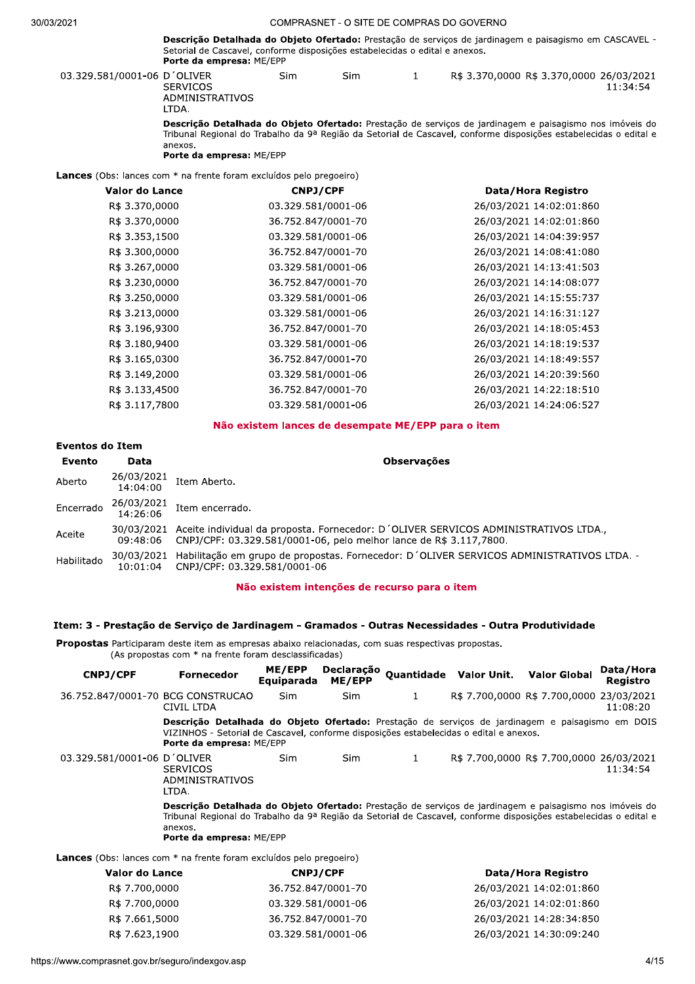| <b>Descrição Detalhada do Objeto Ofertado:</b> Prestação de serviços de jardinagem e paisagismo em CASCAVEL |
|-------------------------------------------------------------------------------------------------------------|
| Setorial de Cascavel, conforme disposições estabelecidas o edital e anexos.                                 |
| <b>Porte da empresa: ME/EPP</b>                                                                             |

|                                                                            | <b>Porte da empresa: ME/EPP</b>             |                                                                                                                                                                                                                                                          |     |              |  |                                                      |  |  |
|----------------------------------------------------------------------------|---------------------------------------------|----------------------------------------------------------------------------------------------------------------------------------------------------------------------------------------------------------------------------------------------------------|-----|--------------|--|------------------------------------------------------|--|--|
| 03.329.581/0001-06 D'OLIVER                                                | <b>SERVICOS</b><br>ADMINISTRATIVOS<br>LTDA. | Sim                                                                                                                                                                                                                                                      | Sim | $\mathbf{1}$ |  | R\$ 3.370,0000 R\$ 3.370,0000 26/03/2021<br>11:34:54 |  |  |
|                                                                            | anexos.                                     | Descrição Detalhada do Objeto Ofertado: Prestação de serviços de jardinagem e paisagismo nos imóveis do<br>Tribunal Regional do Trabalho da 9ª Região da Setorial de Cascavel, conforme disposições estabelecidas o edital e<br>Porte da empresa: ME/EPP |     |              |  |                                                      |  |  |
| <b>Lances</b> (Obs: lances com * na frente foram excluídos pelo pregoeiro) |                                             |                                                                                                                                                                                                                                                          |     |              |  |                                                      |  |  |
| Valor do Lance                                                             |                                             | <b>CNPJ/CPF</b>                                                                                                                                                                                                                                          |     |              |  | Data/Hora Registro                                   |  |  |
| R\$ 3.370,0000                                                             |                                             | 03.329.581/0001-06                                                                                                                                                                                                                                       |     |              |  | 26/03/2021 14:02:01:860                              |  |  |
| R\$ 3.370,0000                                                             |                                             | 36.752.847/0001-70                                                                                                                                                                                                                                       |     |              |  | 26/03/2021 14:02:01:860                              |  |  |
| R\$ 3.353,1500                                                             |                                             | 03.329.581/0001-06                                                                                                                                                                                                                                       |     |              |  | 26/03/2021 14:04:39:957                              |  |  |
| R\$ 3.300,0000                                                             |                                             | 36.752.847/0001-70                                                                                                                                                                                                                                       |     |              |  | 26/03/2021 14:08:41:080                              |  |  |
| R\$ 3.267,0000                                                             |                                             | 03.329.581/0001-06                                                                                                                                                                                                                                       |     |              |  | 26/03/2021 14:13:41:503                              |  |  |
| R\$ 3.230,0000                                                             |                                             | 36.752.847/0001-70                                                                                                                                                                                                                                       |     |              |  | 26/03/2021 14:14:08:077                              |  |  |
| R\$ 3.250,0000                                                             |                                             | 03.329.581/0001-06                                                                                                                                                                                                                                       |     |              |  | 26/03/2021 14:15:55:737                              |  |  |
| R\$ 3.213,0000                                                             |                                             | 03.329.581/0001-06                                                                                                                                                                                                                                       |     |              |  | 26/03/2021 14:16:31:127                              |  |  |
| R\$ 3.196,9300                                                             |                                             | 36.752.847/0001-70                                                                                                                                                                                                                                       |     |              |  | 26/03/2021 14:18:05:453                              |  |  |
| R\$ 3.180,9400                                                             |                                             | 03.329.581/0001-06                                                                                                                                                                                                                                       |     |              |  | 26/03/2021 14:18:19:537                              |  |  |
| R\$ 3.165,0300                                                             |                                             | 36.752.847/0001-70                                                                                                                                                                                                                                       |     |              |  | 26/03/2021 14:18:49:557                              |  |  |
| R\$ 3.149,2000                                                             |                                             | 03.329.581/0001-06                                                                                                                                                                                                                                       |     |              |  | 26/03/2021 14:20:39:560                              |  |  |
| R\$ 3.133,4500                                                             |                                             | 36.752.847/0001-70                                                                                                                                                                                                                                       |     |              |  | 26/03/2021 14:22:18:510                              |  |  |
| R\$ 3.117,7800                                                             |                                             | 03.329.581/0001-06                                                                                                                                                                                                                                       |     |              |  | 26/03/2021 14:24:06:527                              |  |  |

#### Não existem lances de desempate ME/EPP para o item

# **Eventos do Item**

| Evento     | Data                             | <b>Observações</b>                                                                                                                                                   |
|------------|----------------------------------|----------------------------------------------------------------------------------------------------------------------------------------------------------------------|
| Aberto     | 26/03/2021<br>14:04:00           | Item Aberto.                                                                                                                                                         |
|            | Encerrado 26/03/2021<br>14:26:06 | Item encerrado.                                                                                                                                                      |
| Aceite     | 09:48:06                         | 30/03/2021 Aceite individual da proposta. Fornecedor: D'OLIVER SERVICOS ADMINISTRATIVOS LTDA.,<br>CNPJ/CPF: 03.329.581/0001-06, pelo melhor lance de R\$ 3.117,7800. |
| Habilitado | 10:01:04                         | 30/03/2021 Habilitação em grupo de propostas. Fornecedor: D'OLIVER SERVICOS ADMINISTRATIVOS LTDA. -<br>CNPJ/CPF: 03.329.581/0001-06                                  |

#### Não existem intenções de recurso para o item

# Item: 3 - Prestação de Serviço de Jardinagem - Gramados - Outras Necessidades - Outra Produtividade

Propostas Participaram deste item as empresas abaixo relacionadas, com suas respectivas propostas. (As propostas com \* na frente foram desclassificadas)

| <b>CNPJ/CPF</b>                                                            | <b>Fornecedor</b>                                                                                                                                                                                                                                                   | ME/EPP<br>Equiparada | Declaração<br>ME/EPP |              | <b>Ouantidade Valor Unit.</b> | <b>Valor Global</b>                      | Data/Hora<br>Registro |
|----------------------------------------------------------------------------|---------------------------------------------------------------------------------------------------------------------------------------------------------------------------------------------------------------------------------------------------------------------|----------------------|----------------------|--------------|-------------------------------|------------------------------------------|-----------------------|
| 36.752.847/0001-70 BCG CONSTRUCAO                                          | CIVIL LTDA                                                                                                                                                                                                                                                          | <b>Sim</b>           | <b>Sim</b>           | $\mathbf{1}$ |                               | R\$ 7.700,0000 R\$ 7.700,0000 23/03/2021 | 11:08:20              |
|                                                                            | Descrição Detalhada do Objeto Ofertado: Prestação de serviços de jardinagem e paisagismo em DOIS<br>VIZINHOS - Setorial de Cascavel, conforme disposições estabelecidas o edital e anexos.<br><b>Porte da empresa: ME/EPP</b>                                       |                      |                      |              |                               |                                          |                       |
| 03.329.581/0001-06 D'OLIVER                                                | <b>SERVICOS</b><br>ADMINISTRATIVOS<br>LTDA.                                                                                                                                                                                                                         | Sim                  | <b>Sim</b>           | 1            |                               | R\$ 7.700,0000 R\$ 7.700,0000 26/03/2021 | 11:34:54              |
|                                                                            | Descrição Detalhada do Objeto Ofertado: Prestação de serviços de jardinagem e paisagismo nos imóveis do<br>Tribunal Regional do Trabalho da 9ª Região da Setorial de Cascavel, conforme disposições estabelecidas o edital e<br>anexos.<br>Porte da empresa: ME/EPP |                      |                      |              |                               |                                          |                       |
| <b>Lances</b> (Obs: lances com * na frente foram excluídos pelo pregoeiro) |                                                                                                                                                                                                                                                                     |                      |                      |              |                               |                                          |                       |
| Valor do Lance                                                             |                                                                                                                                                                                                                                                                     | <b>CNPJ/CPF</b>      |                      |              |                               | Data/Hora Registro                       |                       |
| R\$ 7.700,0000                                                             |                                                                                                                                                                                                                                                                     | 36.752.847/0001-70   |                      |              |                               | 26/03/2021 14:02:01:860                  |                       |
| R\$ 7.700,0000                                                             |                                                                                                                                                                                                                                                                     | 03.329.581/0001-06   |                      |              |                               | 26/03/2021 14:02:01:860                  |                       |

| R\$ 7.700,0000 | 36.752.847/0001-70 | 26/03/2021 14:02:01:860 |
|----------------|--------------------|-------------------------|
| R\$ 7.700,0000 | 03.329.581/0001-06 | 26/03/2021 14:02:01:860 |
| R\$ 7.661,5000 | 36.752.847/0001-70 | 26/03/2021 14:28:34:850 |
| R\$ 7.623,1900 | 03.329.581/0001-06 | 26/03/2021 14:30:09:240 |
|                |                    |                         |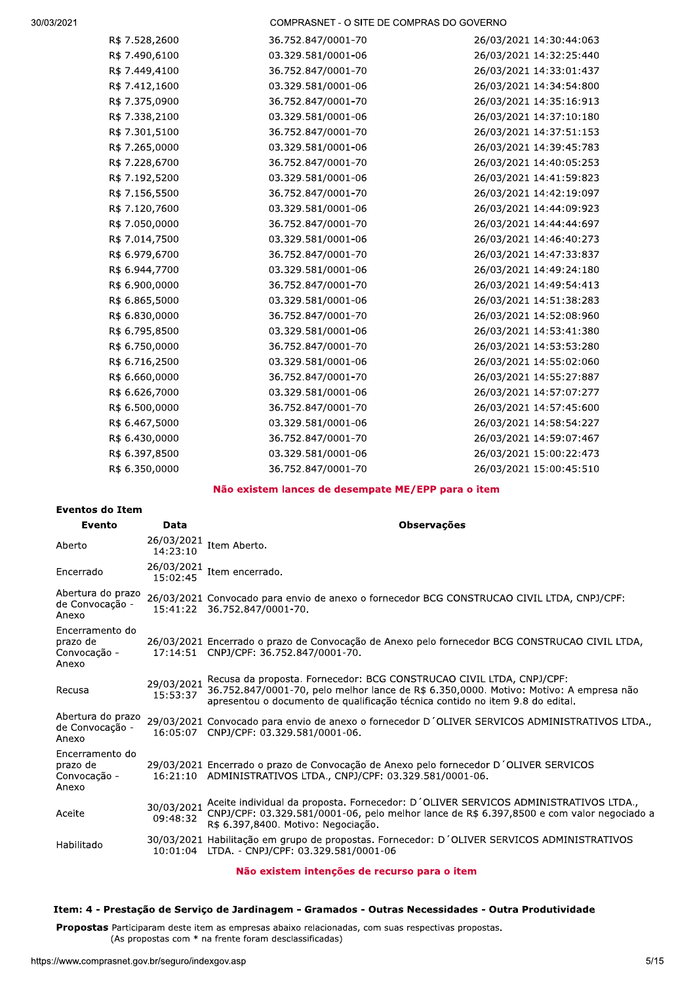COMPRASNET - O SITE DE COMPRAS DO GOVERNO

| R\$ 7.528,2600 | 36.752.847/0001-70 | 26/03/2021 14:30:44:063 |
|----------------|--------------------|-------------------------|
| R\$ 7.490,6100 | 03.329.581/0001-06 | 26/03/2021 14:32:25:440 |
| R\$ 7.449,4100 | 36.752.847/0001-70 | 26/03/2021 14:33:01:437 |
| R\$ 7.412,1600 | 03.329.581/0001-06 | 26/03/2021 14:34:54:800 |
| R\$ 7.375,0900 | 36.752.847/0001-70 | 26/03/2021 14:35:16:913 |
| R\$ 7.338,2100 | 03.329.581/0001-06 | 26/03/2021 14:37:10:180 |
| R\$ 7.301,5100 | 36.752.847/0001-70 | 26/03/2021 14:37:51:153 |
| R\$ 7.265,0000 | 03.329.581/0001-06 | 26/03/2021 14:39:45:783 |
| R\$ 7.228,6700 | 36.752.847/0001-70 | 26/03/2021 14:40:05:253 |
| R\$ 7.192,5200 | 03.329.581/0001-06 | 26/03/2021 14:41:59:823 |
| R\$ 7.156,5500 | 36.752.847/0001-70 | 26/03/2021 14:42:19:097 |
| R\$ 7.120,7600 | 03.329.581/0001-06 | 26/03/2021 14:44:09:923 |
| R\$ 7.050,0000 | 36.752.847/0001-70 | 26/03/2021 14:44:44:697 |
| R\$ 7.014,7500 | 03.329.581/0001-06 | 26/03/2021 14:46:40:273 |
| R\$ 6.979,6700 | 36.752.847/0001-70 | 26/03/2021 14:47:33:837 |
| R\$ 6.944,7700 | 03.329.581/0001-06 | 26/03/2021 14:49:24:180 |
| R\$ 6.900,0000 | 36.752.847/0001-70 | 26/03/2021 14:49:54:413 |
| R\$ 6.865,5000 | 03.329.581/0001-06 | 26/03/2021 14:51:38:283 |
| R\$ 6.830,0000 | 36.752.847/0001-70 | 26/03/2021 14:52:08:960 |
| R\$ 6.795,8500 | 03.329.581/0001-06 | 26/03/2021 14:53:41:380 |
| R\$ 6.750,0000 | 36.752.847/0001-70 | 26/03/2021 14:53:53:280 |
| R\$ 6.716,2500 | 03.329.581/0001-06 | 26/03/2021 14:55:02:060 |
| R\$ 6.660,0000 | 36.752.847/0001-70 | 26/03/2021 14:55:27:887 |
| R\$ 6.626,7000 | 03.329.581/0001-06 | 26/03/2021 14:57:07:277 |
| R\$ 6.500,0000 | 36.752.847/0001-70 | 26/03/2021 14:57:45:600 |
| R\$ 6.467,5000 | 03.329.581/0001-06 | 26/03/2021 14:58:54:227 |
| R\$ 6.430,0000 | 36.752.847/0001-70 | 26/03/2021 14:59:07:467 |
| R\$ 6.397,8500 | 03.329.581/0001-06 | 26/03/2021 15:00:22:473 |
| R\$ 6.350,0000 | 36.752.847/0001-70 | 26/03/2021 15:00:45:510 |
|                |                    |                         |

# Não existem lances de desempate ME/EPP para o item

#### **Eventos do Item**

| Evento                                               | Data                   | <b>Observações</b>                                                                                                                                                                                                                              |
|------------------------------------------------------|------------------------|-------------------------------------------------------------------------------------------------------------------------------------------------------------------------------------------------------------------------------------------------|
| Aberto                                               | 26/03/2021<br>14:23:10 | Item Aberto.                                                                                                                                                                                                                                    |
| Encerrado                                            | 26/03/2021<br>15:02:45 | Item encerrado.                                                                                                                                                                                                                                 |
| Abertura do prazo<br>de Convocação -<br>Anexo        |                        | 26/03/2021 Convocado para envio de anexo o fornecedor BCG CONSTRUCAO CIVIL LTDA, CNPJ/CPF:<br>15:41:22 36.752.847/0001-70.                                                                                                                      |
| Encerramento do<br>prazo de<br>Convocação -<br>Anexo |                        | 26/03/2021 Encerrado o prazo de Convocação de Anexo pelo fornecedor BCG CONSTRUCAO CIVIL LTDA,<br>17:14:51 CNPJ/CPF: 36.752.847/0001-70.                                                                                                        |
| Recusa                                               | 29/03/2021<br>15:53:37 | Recusa da proposta. Fornecedor: BCG CONSTRUCAO CIVIL LTDA, CNPJ/CPF:<br>36.752.847/0001-70, pelo melhor lance de R\$ 6.350,0000. Motivo: Motivo: A empresa não<br>apresentou o documento de qualificação técnica contido no item 9.8 do edital. |
| Abertura do prazo<br>de Convocação -<br>Anexo        |                        | 29/03/2021 Convocado para envio de anexo o fornecedor D'OLIVER SERVICOS ADMINISTRATIVOS LTDA.,<br>16:05:07 CNPJ/CPF: 03.329.581/0001-06.                                                                                                        |
| Encerramento do<br>prazo de<br>Convocação -<br>Anexo |                        | 29/03/2021 Encerrado o prazo de Convocação de Anexo pelo fornecedor D'OLIVER SERVICOS<br>16:21:10 ADMINISTRATIVOS LTDA., CNPJ/CPF: 03.329.581/0001-06.                                                                                          |
| Aceite                                               | 30/03/2021<br>09:48:32 | Aceite individual da proposta. Fornecedor: D'OLIVER SERVICOS ADMINISTRATIVOS LTDA.,<br>CNPJ/CPF: 03.329.581/0001-06, pelo melhor lance de R\$ 6.397,8500 e com valor negociado a<br>R\$ 6.397.8400. Motivo: Negociação.                         |
| Habilitado                                           |                        | 30/03/2021 Habilitação em grupo de propostas. Fornecedor: D'OLIVER SERVICOS ADMINISTRATIVOS<br>10:01:04 LTDA. - CNPJ/CPF: 03.329.581/0001-06                                                                                                    |

# Não existem intenções de recurso para o item

# Item: 4 - Prestação de Serviço de Jardinagem - Gramados - Outras Necessidades - Outra Produtividade

Propostas Participaram deste item as empresas abaixo relacionadas, com suas respectivas propostas. (As propostas com \* na frente foram desclassificadas)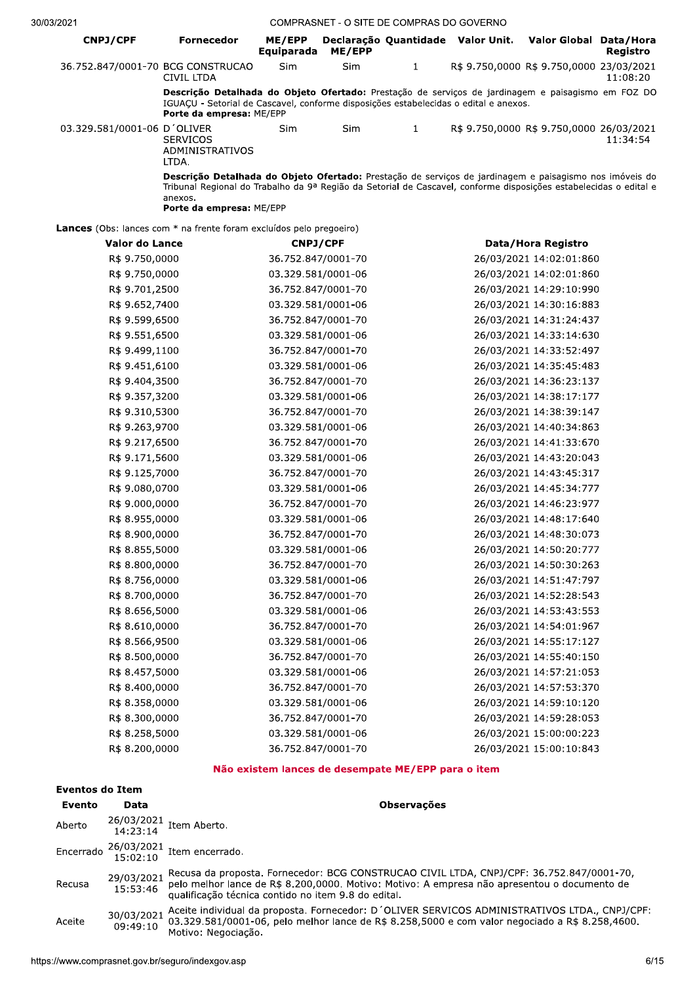| 2021                                                                       |                                                                                                                                                                                                                                                                     |                             |        | COMPRASNET - O SITE DE COMPRAS DO GOVERNO |                                          |          |
|----------------------------------------------------------------------------|---------------------------------------------------------------------------------------------------------------------------------------------------------------------------------------------------------------------------------------------------------------------|-----------------------------|--------|-------------------------------------------|------------------------------------------|----------|
| <b>CNPJ/CPF</b>                                                            | <b>Fornecedor</b>                                                                                                                                                                                                                                                   | ME/EPP<br><b>Equiparada</b> | ME/EPP | Declaração Quantidade Valor Unit.         | Valor Global Data/Hora                   | Registro |
| 36.752.847/0001-70 BCG CONSTRUCAO                                          | CIVIL LTDA                                                                                                                                                                                                                                                          | Sim                         | Sim    | $\mathbf{1}$                              | R\$ 9.750,0000 R\$ 9.750,0000 23/03/2021 | 11:08:20 |
|                                                                            | Descrição Detalhada do Objeto Ofertado: Prestação de serviços de jardinagem e paisagismo em FOZ DO<br>IGUAÇU - Setorial de Cascavel, conforme disposições estabelecidas o edital e anexos.<br>Porte da empresa: ME/EPP                                              |                             |        |                                           |                                          |          |
| 03.329.581/0001-06 D'OLIVER                                                | <b>SERVICOS</b><br>ADMINISTRATIVOS<br>LTDA.                                                                                                                                                                                                                         | Sim                         | Sim    | $\mathbf{1}$                              | R\$ 9.750,0000 R\$ 9.750,0000 26/03/2021 | 11:34:54 |
|                                                                            | Descrição Detalhada do Objeto Ofertado: Prestação de serviços de jardinagem e paisagismo nos imóveis do<br>Tribunal Regional do Trabalho da 9ª Região da Setorial de Cascavel, conforme disposições estabelecidas o edital e<br>anexos.<br>Porte da empresa: ME/EPP |                             |        |                                           |                                          |          |
| <b>Lances</b> (Obs: lances com * na frente foram excluídos pelo pregoeiro) |                                                                                                                                                                                                                                                                     |                             |        |                                           |                                          |          |
| <b>Valor do Lance</b>                                                      |                                                                                                                                                                                                                                                                     | <b>CNPJ/CPF</b>             |        |                                           | Data/Hora Registro                       |          |
| R\$ 9.750,0000                                                             |                                                                                                                                                                                                                                                                     | 36.752.847/0001-70          |        |                                           | 26/03/2021 14:02:01:860                  |          |
| R\$ 9.750,0000                                                             |                                                                                                                                                                                                                                                                     | 03.329.581/0001-06          |        |                                           | 26/03/2021 14:02:01:860                  |          |
| R\$ 9.701,2500                                                             |                                                                                                                                                                                                                                                                     | 36.752.847/0001-70          |        |                                           | 26/03/2021 14:29:10:990                  |          |
| R\$ 9.652,7400                                                             |                                                                                                                                                                                                                                                                     | 03.329.581/0001-06          |        |                                           | 26/03/2021 14:30:16:883                  |          |
| R\$ 9.599,6500                                                             |                                                                                                                                                                                                                                                                     | 36.752.847/0001-70          |        |                                           | 26/03/2021 14:31:24:437                  |          |
| R\$ 9.551,6500                                                             |                                                                                                                                                                                                                                                                     | 03.329.581/0001-06          |        |                                           | 26/03/2021 14:33:14:630                  |          |
| R\$ 9.499,1100                                                             |                                                                                                                                                                                                                                                                     | 36.752.847/0001-70          |        |                                           | 26/03/2021 14:33:52:497                  |          |
| R\$ 9.451,6100                                                             |                                                                                                                                                                                                                                                                     | 03.329.581/0001-06          |        |                                           | 26/03/2021 14:35:45:483                  |          |
| R\$ 9.404,3500                                                             |                                                                                                                                                                                                                                                                     | 36.752.847/0001-70          |        |                                           | 26/03/2021 14:36:23:137                  |          |
| R\$ 9.357,3200                                                             |                                                                                                                                                                                                                                                                     | 03.329.581/0001-06          |        |                                           | 26/03/2021 14:38:17:177                  |          |
| R\$ 9.310,5300                                                             |                                                                                                                                                                                                                                                                     | 36.752.847/0001-70          |        |                                           | 26/03/2021 14:38:39:147                  |          |
| R\$ 9.263,9700                                                             |                                                                                                                                                                                                                                                                     | 03.329.581/0001-06          |        |                                           | 26/03/2021 14:40:34:863                  |          |
| R\$ 9.217,6500                                                             |                                                                                                                                                                                                                                                                     | 36.752.847/0001-70          |        |                                           | 26/03/2021 14:41:33:670                  |          |
| R\$ 9.171,5600                                                             |                                                                                                                                                                                                                                                                     | 03.329.581/0001-06          |        |                                           | 26/03/2021 14:43:20:043                  |          |
| R\$ 9.125,7000                                                             |                                                                                                                                                                                                                                                                     | 36.752.847/0001-70          |        |                                           | 26/03/2021 14:43:45:317                  |          |
| R\$ 9.080,0700                                                             |                                                                                                                                                                                                                                                                     | 03.329.581/0001-06          |        |                                           | 26/03/2021 14:45:34:777                  |          |
| R\$ 9.000,0000                                                             |                                                                                                                                                                                                                                                                     | 36.752.847/0001-70          |        |                                           | 26/03/2021 14:46:23:977                  |          |
| R\$ 8.955,0000                                                             |                                                                                                                                                                                                                                                                     | 03.329.581/0001-06          |        |                                           | 26/03/2021 14:48:17:640                  |          |
| R\$ 8.900,0000                                                             |                                                                                                                                                                                                                                                                     | 36.752.847/0001-70          |        |                                           | 26/03/2021 14:48:30:073                  |          |
| R\$ 8.855,5000                                                             |                                                                                                                                                                                                                                                                     | 03.329.581/0001-06          |        |                                           | 26/03/2021 14:50:20:777                  |          |
| R\$ 8.800,0000                                                             |                                                                                                                                                                                                                                                                     | 36.752.847/0001-70          |        |                                           | 26/03/2021 14:50:30:263                  |          |
| R\$ 8.756,0000                                                             |                                                                                                                                                                                                                                                                     | 03.329.581/0001-06          |        |                                           | 26/03/2021 14:51:47:797                  |          |
| R\$ 8.700,0000                                                             |                                                                                                                                                                                                                                                                     | 36.752.847/0001-70          |        |                                           | 26/03/2021 14:52:28:543                  |          |
| R\$ 8.656,5000                                                             |                                                                                                                                                                                                                                                                     | 03.329.581/0001-06          |        |                                           | 26/03/2021 14:53:43:553                  |          |
| R\$ 8.610,0000                                                             |                                                                                                                                                                                                                                                                     | 36.752.847/0001-70          |        |                                           | 26/03/2021 14:54:01:967                  |          |
| R\$ 8.566,9500                                                             |                                                                                                                                                                                                                                                                     | 03.329.581/0001-06          |        |                                           | 26/03/2021 14:55:17:127                  |          |
| R\$ 8.500,0000                                                             |                                                                                                                                                                                                                                                                     | 36.752.847/0001-70          |        |                                           | 26/03/2021 14:55:40:150                  |          |
| R\$ 8.457,5000                                                             |                                                                                                                                                                                                                                                                     | 03.329.581/0001-06          |        |                                           | 26/03/2021 14:57:21:053                  |          |
| R\$ 8.400,0000                                                             |                                                                                                                                                                                                                                                                     | 36.752.847/0001-70          |        |                                           | 26/03/2021 14:57:53:370                  |          |
| R\$ 8.358,0000                                                             |                                                                                                                                                                                                                                                                     | 03.329.581/0001-06          |        |                                           | 26/03/2021 14:59:10:120                  |          |
| R\$ 8.300,0000                                                             |                                                                                                                                                                                                                                                                     | 36.752.847/0001-70          |        |                                           | 26/03/2021 14:59:28:053                  |          |
| R\$ 8.258,5000                                                             |                                                                                                                                                                                                                                                                     | 03.329.581/0001-06          |        |                                           | 26/03/2021 15:00:00:223                  |          |
| R\$ 8.200,0000                                                             |                                                                                                                                                                                                                                                                     | 36.752.847/0001-70          |        |                                           | 26/03/2021 15:00:10:843                  |          |

# Não existem lances de desempate ME/EPP para o item

| Eventos do Item |                        |                                                                                                                                                                                                                                                 |  |  |
|-----------------|------------------------|-------------------------------------------------------------------------------------------------------------------------------------------------------------------------------------------------------------------------------------------------|--|--|
| Evento          | Data                   | <b>Observações</b>                                                                                                                                                                                                                              |  |  |
| Aberto          |                        | $26/03/2021$ Item Aberto.                                                                                                                                                                                                                       |  |  |
|                 |                        | Encerrado $\frac{26/03/2021}{15 \cdot 02 \cdot 10}$ Item encerrado.                                                                                                                                                                             |  |  |
| Recusa          | 29/03/2021<br>15:53:46 | Recusa da proposta. Fornecedor: BCG CONSTRUCAO CIVIL LTDA, CNPJ/CPF: 36.752.847/0001-70,<br>pelo melhor lance de R\$ 8.200,0000. Motivo: Motivo: A empresa não apresentou o documento de<br>qualificação técnica contido no item 9.8 do edital. |  |  |
| Aceite          | 30/03/2021<br>09:49:10 | Aceite individual da proposta. Fornecedor: D'OLIVER SERVICOS ADMINISTRATIVOS LTDA., CNPJ/CPF:<br>03.329.581/0001-06, pelo melhor lance de R\$ 8.258,5000 e com valor negociado a R\$ 8.258,4600.<br>Motivo: Negociação.                         |  |  |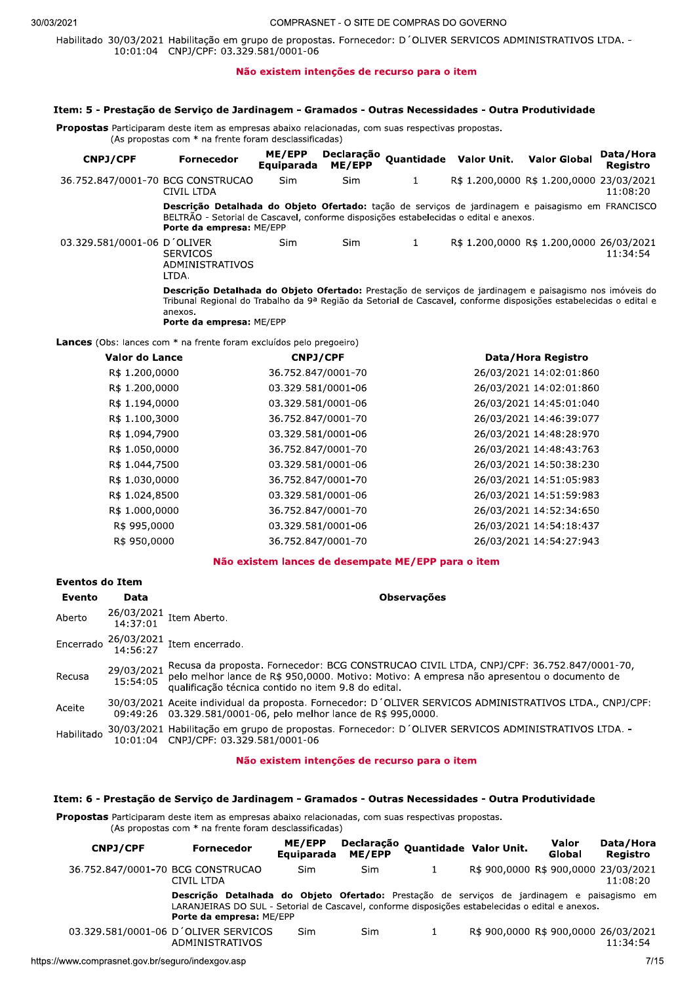Habilitado 30/03/2021 Habilitação em grupo de propostas, Fornecedor; D'OLIVER SERVICOS ADMINISTRATIVOS LTDA. -10:01:04 CNPJ/CPF: 03.329.581/0001-06

#### Não existem intenções de recurso para o item

#### Item: 5 - Prestação de Serviço de Jardinagem - Gramados - Outras Necessidades - Outra Produtividade

Propostas Participaram deste item as empresas abaixo relacionadas, com suas respectivas propostas. (As propostas com \* na frente foram desclassificadas)

Declaração Quantidade Valor Unit. ME/EPP Data/Hora CNPJ/CPF **Valor Global Fornecedor** ME/EPP Equiparada Registro 36.752.847/0001-70 BCG CONSTRUCAO R\$ 1.200,0000 R\$ 1.200,0000 23/03/2021 Sim Sim  $\mathbf{1}$ 11:08:20 **CIVIL LTDA** Descrição Detalhada do Objeto Ofertado: tação de serviços de jardinagem e paisagismo em FRANCISCO BELTRÃO - Setorial de Cascavel, conforme disposições estabelecidas o edital e anexos. Porte da empresa: ME/EPP R\$ 1.200,0000 R\$ 1.200,0000 26/03/2021 03.329.581/0001-06 D'OLIVER Sim Sim  $\mathbf{1}$ **SERVICOS**  $11:34:54$ ADMINISTRATIVOS LTDA. Descrição Detalhada do Objeto Ofertado: Prestação de serviços de jardinagem e paisagismo nos imóveis do Tribunal Regional do Trabalho da 9ª Região da Setorial de Cascavel, conforme disposições estabelecidas o edital e anexos Porte da empresa: ME/EPP

Lances (Obs: lances com \* na frente foram excluídos pelo pregoeiro)

| Valor do Lance | <b>CNPJ/CPF</b>    | Data/Hora Registro      |
|----------------|--------------------|-------------------------|
| R\$ 1.200,0000 | 36.752.847/0001-70 | 26/03/2021 14:02:01:860 |
| R\$ 1.200,0000 | 03.329.581/0001-06 | 26/03/2021 14:02:01:860 |
| R\$ 1.194,0000 | 03.329.581/0001-06 | 26/03/2021 14:45:01:040 |
| R\$ 1.100,3000 | 36.752.847/0001-70 | 26/03/2021 14:46:39:077 |
| R\$ 1.094,7900 | 03.329.581/0001-06 | 26/03/2021 14:48:28:970 |
| R\$ 1.050,0000 | 36.752.847/0001-70 | 26/03/2021 14:48:43:763 |
| R\$ 1.044,7500 | 03.329.581/0001-06 | 26/03/2021 14:50:38:230 |
| R\$ 1.030,0000 | 36.752.847/0001-70 | 26/03/2021 14:51:05:983 |
| R\$ 1.024,8500 | 03.329.581/0001-06 | 26/03/2021 14:51:59:983 |
| R\$ 1.000,0000 | 36.752.847/0001-70 | 26/03/2021 14:52:34:650 |
| R\$ 995,0000   | 03.329.581/0001-06 | 26/03/2021 14:54:18:437 |
| R\$ 950,0000   | 36.752.847/0001-70 | 26/03/2021 14:54:27:943 |

### Não existem lances de desempate ME/EPP para o item

| Eventos do Item |                        |                                                                                                                                                                                                                                               |
|-----------------|------------------------|-----------------------------------------------------------------------------------------------------------------------------------------------------------------------------------------------------------------------------------------------|
| Evento          | Data                   | <b>Observações</b>                                                                                                                                                                                                                            |
| Aberto          |                        | $26/03/2021$ Item Aberto.<br>14:37:01                                                                                                                                                                                                         |
|                 |                        | Encerrado $\frac{26/03/2021}{14:56:27}$ Item encerrado.                                                                                                                                                                                       |
| Recusa          | 29/03/2021<br>15:54:05 | Recusa da proposta. Fornecedor: BCG CONSTRUCAO CIVIL LTDA, CNPJ/CPF: 36.752.847/0001-70,<br>pelo melhor lance de R\$ 950,0000. Motivo: Motivo: A empresa não apresentou o documento de<br>qualificação técnica contido no item 9.8 do edital. |
| Aceite          |                        | 30/03/2021 Aceite individual da proposta. Fornecedor: D'OLIVER SERVICOS ADMINISTRATIVOS LTDA., CNPJ/CPF:<br>09:49:26 03.329.581/0001-06, pelo melhor lance de R\$ 995,0000.                                                                   |
| Habilitado      |                        | 30/03/2021 Habilitação em grupo de propostas. Fornecedor: D'OLIVER SERVICOS ADMINISTRATIVOS LTDA. -<br>10:01:04 CNPJ/CPF: 03.329.581/0001-06                                                                                                  |

### Não existem intenções de recurso para o item

# Item: 6 - Prestação de Serviço de Jardinagem - Gramados - Outras Necessidades - Outra Produtividade

Propostas Participaram deste item as empresas abaixo relacionadas, com suas respectivas propostas.

(As propostas com \* na frente foram desclassificadas)

| CNPJ/CPF                          | Fornecedor                                                                                                                                | ME/EPP<br><b>Equiparada</b> | Declaração<br><b>ME/EPP</b> | Quantidade Valor Unit.                                                            | Valor<br>Global                      | Data/Hora<br>Registro |
|-----------------------------------|-------------------------------------------------------------------------------------------------------------------------------------------|-----------------------------|-----------------------------|-----------------------------------------------------------------------------------|--------------------------------------|-----------------------|
| 36.752.847/0001-70 BCG CONSTRUCAO | CIVIL LTDA                                                                                                                                | Sim                         | Sim                         |                                                                                   | R\$ 900,0000 R\$ 900,0000 23/03/2021 | 11:08:20              |
|                                   | Descricão<br>LARANJEIRAS DO SUL - Setorial de Cascavel, conforme disposições estabelecidas o edital e anexos.<br>Porte da empresa: ME/EPP |                             |                             | Detalhada do Objeto Ofertado: Prestação de servicos de jardinagem e paisagismo em |                                      |                       |
|                                   | 03.329.581/0001-06 D'OLIVER SERVICOS<br>ADMINISTRATIVOS                                                                                   | Sim                         | Sim                         |                                                                                   | R\$ 900,0000 R\$ 900,0000 26/03/2021 | 11:34:54              |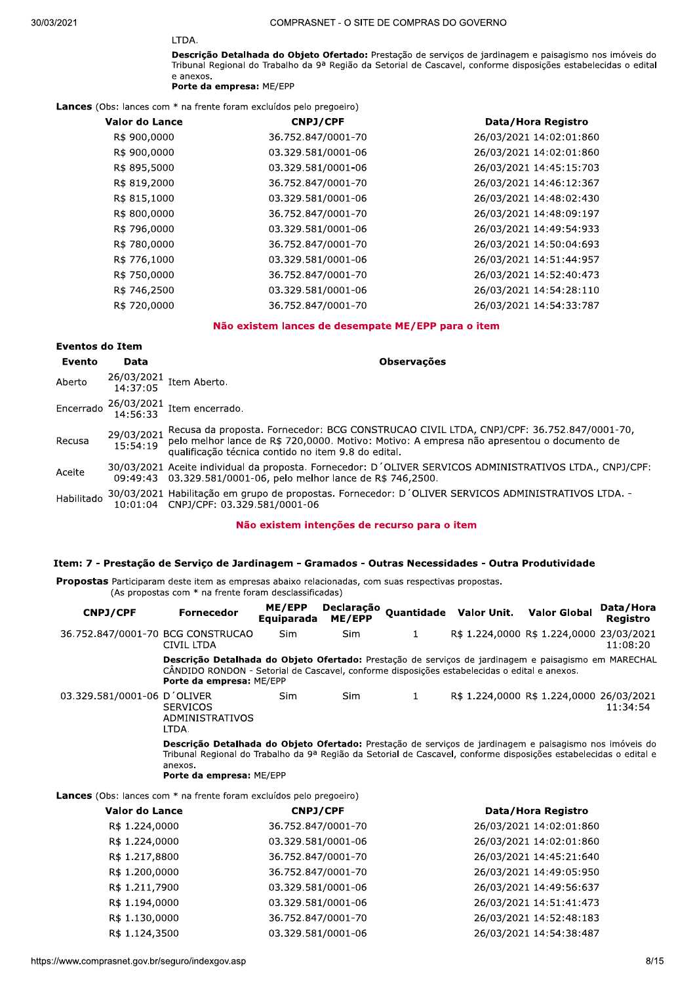# LTDA.

Descrição Detalhada do Objeto Ofertado: Prestação de serviços de jardinagem e paisagismo nos imóveis do Tribunal Regional do Trabalho da 9ª Região da Setorial de Cascavel, conforme disposições estabelecidas o edital e anexos.

#### Porte da empresa: ME/EPP

Lances (Obs: lances com \* na frente foram excluídos pelo pregoeiro)

| Valor do Lance | <b>CNPJ/CPF</b> | Data/Hora Registro                                                                                                                                                                                                                                                   |
|----------------|-----------------|----------------------------------------------------------------------------------------------------------------------------------------------------------------------------------------------------------------------------------------------------------------------|
| R\$ 900,0000   |                 | 26/03/2021 14:02:01:860                                                                                                                                                                                                                                              |
| R\$ 900,0000   |                 | 26/03/2021 14:02:01:860                                                                                                                                                                                                                                              |
| R\$ 895,5000   |                 | 26/03/2021 14:45:15:703                                                                                                                                                                                                                                              |
| R\$ 819,2000   |                 | 26/03/2021 14:46:12:367                                                                                                                                                                                                                                              |
| R\$ 815,1000   |                 | 26/03/2021 14:48:02:430                                                                                                                                                                                                                                              |
| R\$ 800,0000   |                 | 26/03/2021 14:48:09:197                                                                                                                                                                                                                                              |
| R\$ 796,0000   |                 | 26/03/2021 14:49:54:933                                                                                                                                                                                                                                              |
| R\$ 780,0000   |                 | 26/03/2021 14:50:04:693                                                                                                                                                                                                                                              |
| R\$ 776,1000   |                 | 26/03/2021 14:51:44:957                                                                                                                                                                                                                                              |
| R\$ 750,0000   |                 | 26/03/2021 14:52:40:473                                                                                                                                                                                                                                              |
| R\$ 746,2500   |                 | 26/03/2021 14:54:28:110                                                                                                                                                                                                                                              |
| R\$ 720,0000   |                 | 26/03/2021 14:54:33:787                                                                                                                                                                                                                                              |
|                |                 | 36.752.847/0001-70<br>03.329.581/0001-06<br>03.329.581/0001-06<br>36.752.847/0001-70<br>03.329.581/0001-06<br>36.752.847/0001-70<br>03.329.581/0001-06<br>36.752.847/0001-70<br>03.329.581/0001-06<br>36.752.847/0001-70<br>03.329.581/0001-06<br>36.752.847/0001-70 |

#### Não existem lances de desempate ME/EPP para o item

# Eventos do Item

| Evento     | Data       | <b>Observações</b>                                                                                                                                                                                                                                                |
|------------|------------|-------------------------------------------------------------------------------------------------------------------------------------------------------------------------------------------------------------------------------------------------------------------|
| Aberto     |            | $26/03/2021$ Item Aberto.<br>14:37:05                                                                                                                                                                                                                             |
|            |            | Encerrado $\frac{26/03/2021}{14:56:33}$ Item encerrado.                                                                                                                                                                                                           |
| Recusa     | 29/03/2021 | 29/03/2021 Recusa da proposta. Fornecedor: BCG CONSTRUCAO CIVIL LTDA, CNPJ/CPF: 36.752.847/0001-70,<br>15:54:19 pelo melhor lance de R\$ 720,0000. Motivo: Motivo: A empresa não apresentou o documento de<br>qualificação técnica contido no item 9.8 do edital. |
| Aceite     |            | 30/03/2021 Aceite individual da proposta. Fornecedor: D'OLIVER SERVICOS ADMINISTRATIVOS LTDA., CNPJ/CPF:<br>09:49:43 03.329.581/0001-06, pelo melhor lance de R\$ 746,2500.                                                                                       |
| Habilitado |            | 30/03/2021 Habilitação em grupo de propostas. Fornecedor: D'OLIVER SERVICOS ADMINISTRATIVOS LTDA. -<br>10:01:04 CNPJ/CPF: 03.329.581/0001-06                                                                                                                      |

#### Não existem intenções de recurso para o item

#### Item: 7 - Prestação de Serviço de Jardinagem - Gramados - Outras Necessidades - Outra Produtividade

Propostas Participaram deste item as empresas abaixo relacionadas, com suas respectivas propostas. (As propostas com \* na frente foram desclassificadas)

| <b>CNPJ/CPF</b>                                                            | <b>Fornecedor</b>                                                                                                                                                                                                                                                          | ME/EPP<br>Equiparada | Declaração<br>ME/EPP |   | Quantidade Valor Unit. | <b>Valor Global</b>                      | Data/Hora<br>Registro |
|----------------------------------------------------------------------------|----------------------------------------------------------------------------------------------------------------------------------------------------------------------------------------------------------------------------------------------------------------------------|----------------------|----------------------|---|------------------------|------------------------------------------|-----------------------|
| 36.752.847/0001-70 BCG CONSTRUCAO                                          | CIVIL LTDA                                                                                                                                                                                                                                                                 | Sim                  | Sim                  | 1 |                        | R\$ 1.224,0000 R\$ 1.224,0000 23/03/2021 | 11:08:20              |
|                                                                            | Descrição Detalhada do Objeto Ofertado: Prestação de serviços de jardinagem e paisagismo em MARECHAL<br>CANDIDO RONDON - Setorial de Cascavel, conforme disposições estabelecidas o edital e anexos.<br>Porte da empresa: ME/EPP                                           |                      |                      |   |                        |                                          |                       |
| 03.329.581/0001-06 D'OLIVER                                                | <b>SERVICOS</b><br>ADMINISTRATIVOS<br>LTDA.                                                                                                                                                                                                                                | <b>Sim</b>           | Sim                  | 1 |                        | R\$ 1.224,0000 R\$ 1.224,0000 26/03/2021 | 11:34:54              |
|                                                                            | Descrição Detalhada do Objeto Ofertado: Prestação de serviços de jardinagem e paisagismo nos imóveis do<br>Tribunal Regional do Trabalho da 9ª Região da Setorial de Cascavel, conforme disposições estabelecidas o edital e<br>anexos.<br><b>Porte da empresa: ME/EPP</b> |                      |                      |   |                        |                                          |                       |
| <b>Lances</b> (Obs: lances com * na frente foram excluídos pelo pregoeiro) |                                                                                                                                                                                                                                                                            |                      |                      |   |                        |                                          |                       |
| Valor do Lance                                                             |                                                                                                                                                                                                                                                                            | <b>CNPJ/CPF</b>      |                      |   |                        | Data/Hora Registro                       |                       |
| R\$ 1.224,0000                                                             |                                                                                                                                                                                                                                                                            | 36.752.847/0001-70   |                      |   |                        | 26/03/2021 14:02:01:860                  |                       |
| R\$ 1.224,0000                                                             |                                                                                                                                                                                                                                                                            | 03.329.581/0001-06   |                      |   |                        | 26/03/2021 14:02:01:860                  |                       |

R\$ 1.217,8800 36.752.847/0001-70 26/03/2021 14:45:21:640 R\$ 1.200,0000 36.752.847/0001-70 26/03/2021 14:49:05:950 R\$ 1.211,7900 03.329.581/0001-06 26/03/2021 14:49:56:637 R\$ 1.194,0000 03.329.581/0001-06 26/03/2021 14:51:41:473

| K\$ 1.200,0000                                    | 36.752.847/0001-70 | 26/03/2021 14:49:05:950 |     |
|---------------------------------------------------|--------------------|-------------------------|-----|
| R\$ 1.211,7900                                    | 03.329.581/0001-06 | 26/03/2021 14:49:56:637 |     |
| R\$ 1.194,0000                                    | 03.329.581/0001-06 | 26/03/2021 14:51:41:473 |     |
| R\$ 1.130,0000                                    | 36.752.847/0001-70 | 26/03/2021 14:52:48:183 |     |
| R\$ 1.124,3500                                    | 03.329.581/0001-06 | 26/03/2021 14:54:38:487 |     |
| https://www.comprasnet.gov.br/seguro/indexgov.asp |                    |                         | 8/1 |
|                                                   |                    |                         |     |
|                                                   |                    |                         |     |
|                                                   |                    |                         |     |
|                                                   |                    |                         |     |
|                                                   |                    |                         |     |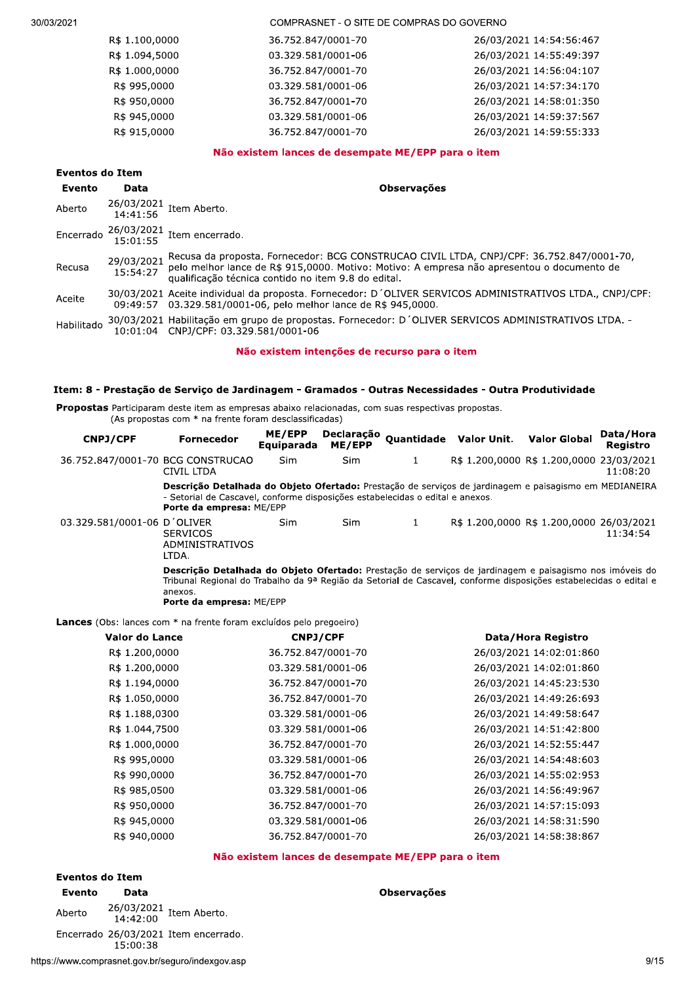ZUZT TARASHI - U SITE DE COMPRASSION GOVERNO

| R\$ 1.100,0000 | 36.752.847/0001-70 | 26/03/2021 14:54:56:467 |
|----------------|--------------------|-------------------------|
| R\$ 1.094,5000 | 03.329.581/0001-06 | 26/03/2021 14:55:49:397 |
| R\$ 1.000,0000 | 36.752.847/0001-70 | 26/03/2021 14:56:04:107 |
| R\$ 995,0000   | 03.329.581/0001-06 | 26/03/2021 14:57:34:170 |
| R\$ 950,0000   | 36.752.847/0001-70 | 26/03/2021 14:58:01:350 |
| R\$ 945,0000   | 03.329.581/0001-06 | 26/03/2021 14:59:37:567 |
| R\$ 915,0000   | 36.752.847/0001-70 | 26/03/2021 14:59:55:333 |
|                |                    |                         |

#### Não existem lances de desempate ME/EPP para o item

|            | Eventos do Item |                                                                                                                                                                                                                                                        |  |  |  |
|------------|-----------------|--------------------------------------------------------------------------------------------------------------------------------------------------------------------------------------------------------------------------------------------------------|--|--|--|
| Evento     | Data            | <b>Observações</b>                                                                                                                                                                                                                                     |  |  |  |
| Aberto     |                 | 26/03/2021 Item Aberto.<br>14:41:56                                                                                                                                                                                                                    |  |  |  |
|            |                 | Encerrado $\frac{26/03/2021}{15:01:55}$ Item encerrado.                                                                                                                                                                                                |  |  |  |
| Recusa     | 29/03/2021      | Recusa da proposta. Fornecedor: BCG CONSTRUCAO CIVIL LTDA, CNPJ/CPF: 36.752.847/0001-70,<br>15:54:27 pelo melhor lance de R\$ 915,0000. Motivo: Motivo: A empresa não apresentou o documento de<br>qualificação técnica contido no item 9.8 do edital. |  |  |  |
| Aceite     |                 | 30/03/2021 Aceite individual da proposta. Fornecedor: D'OLIVER SERVICOS ADMINISTRATIVOS LTDA., CNPJ/CPF:<br>09:49:57 03.329.581/0001-06, pelo melhor lance de R\$ 945,0000.                                                                            |  |  |  |
| Habilitado |                 | 30/03/2021 Habilitação em grupo de propostas. Fornecedor: D'OLIVER SERVICOS ADMINISTRATIVOS LTDA. -<br>10:01:04 CNPJ/CPF: 03.329.581/0001-06                                                                                                           |  |  |  |

#### Não existem intenções de recurso para o item

#### Item: 8 - Prestação de Serviço de Jardinagem - Gramados - Outras Necessidades - Outra Produtividade

Propostas Participaram deste item as empresas abaixo relacionadas, com suas respectivas propostas.

A an additional above herm as empressed assisted relations.<br>(As propostas com \* na frente foram desclassificadas)

| <b>CNPJ/CPF</b>                   | <b>Fornecedor</b>                                                                                                                                                                                                                                                          | ME/EPP<br>Equiparada | Declaração<br>ME/EPP |   | Quantidade Valor Unit. | <b>Valor Global</b>                      | Data/Hora<br>Registro |
|-----------------------------------|----------------------------------------------------------------------------------------------------------------------------------------------------------------------------------------------------------------------------------------------------------------------------|----------------------|----------------------|---|------------------------|------------------------------------------|-----------------------|
| 36.752.847/0001-70 BCG CONSTRUCAO | CIVIL LTDA                                                                                                                                                                                                                                                                 | Sim                  | <b>Sim</b>           | 1 |                        | R\$ 1.200,0000 R\$ 1.200,0000 23/03/2021 | 11:08:20              |
|                                   | Descrição Detalhada do Objeto Ofertado: Prestação de serviços de jardinagem e paisagismo em MEDIANEIRA<br>- Setorial de Cascavel, conforme disposições estabelecidas o edital e anexos.<br><b>Porte da empresa: ME/EPP</b>                                                 |                      |                      |   |                        |                                          |                       |
| 03.329.581/0001-06 D'OLIVER       | <b>SERVICOS</b><br>ADMINISTRATIVOS<br>LTDA.                                                                                                                                                                                                                                | <b>Sim</b>           | Sim                  | 1 |                        | R\$ 1.200,0000 R\$ 1.200,0000 26/03/2021 | 11:34:54              |
|                                   | Descrição Detalhada do Objeto Ofertado: Prestação de serviços de jardinagem e paisagismo nos imóveis do<br>Tribunal Regional do Trabalho da 9ª Região da Setorial de Cascavel, conforme disposições estabelecidas o edital e<br>anexos.<br><b>Porte da empresa: ME/EPP</b> |                      |                      |   |                        |                                          |                       |

**Lances** (Obs: lances com  $^*$  na frente foram excluídos pelo pregoeiro)

| Valor do Lance | <b>CNPJ/CPF</b>    | Data/Hora Registro      |
|----------------|--------------------|-------------------------|
| R\$ 1.200,0000 | 36.752.847/0001-70 | 26/03/2021 14:02:01:860 |
| R\$ 1.200,0000 | 03.329.581/0001-06 | 26/03/2021 14:02:01:860 |
| R\$ 1.194,0000 | 36.752.847/0001-70 | 26/03/2021 14:45:23:530 |
| R\$ 1.050,0000 | 36.752.847/0001-70 | 26/03/2021 14:49:26:693 |
| R\$ 1.188,0300 | 03.329.581/0001-06 | 26/03/2021 14:49:58:647 |
| R\$ 1.044,7500 | 03.329.581/0001-06 | 26/03/2021 14:51:42:800 |
| R\$ 1.000,0000 | 36.752.847/0001-70 | 26/03/2021 14:52:55:447 |
| R\$ 995,0000   | 03.329.581/0001-06 | 26/03/2021 14:54:48:603 |
| R\$ 990,0000   | 36.752.847/0001-70 | 26/03/2021 14:55:02:953 |
| R\$ 985,0500   | 03.329.581/0001-06 | 26/03/2021 14:56:49:967 |
| R\$ 950,0000   | 36.752.847/0001-70 | 26/03/2021 14:57:15:093 |
| R\$ 945,0000   | 03.329.581/0001-06 | 26/03/2021 14:58:31:590 |
| R\$ 940,0000   | 36.752.847/0001-70 | 26/03/2021 14:58:38:867 |

#### Não existem lances de desempate ME/EPP para o item

# Eventos do Item

Evento Data establecente de la construcción de la construcción de la construcción de la construcción de la con

**do Item<br>
Data**<br>
26/03/2021 Item Aberto.<br>
14:42:00 Item encerrado.<br>
15:00:38<br>
prasnet.gov.br/seguro/indexgov.asp<br>
9/19 Aberto  $\begin{array}{r} 26/03/2021 \\ 14:42:00 \end{array}$  Item Aberto.  $\frac{15:003}{26}$  Encerrado 26/03/2021 Item encerrado.

https://www.comprasnet.gov.br/seguro/in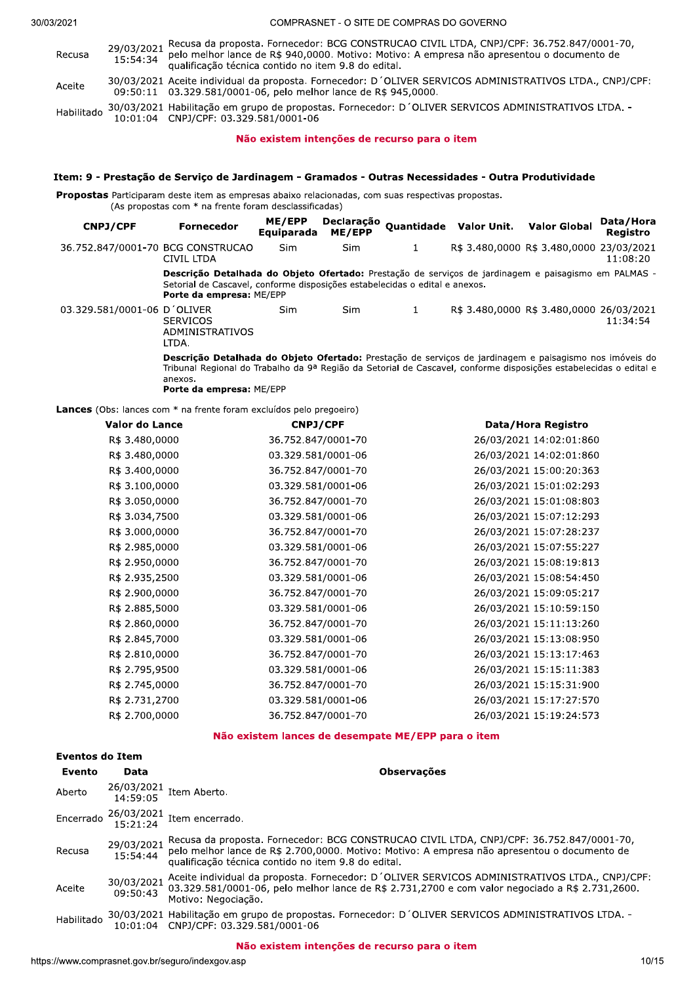ZUZT TARASHI - U SITE DE COMPRASSION GOVERNO

29/03/2021 Recusa da proposta. Fornecedor: BCG CONSTRUCAO CIVIL LTDA, CNPJ/CPF: 36.752.847/0001-70,<br>15:54:34 pelo melhor lance de R\$ 940,0000. Motivo: Motivo: A empresa não apresentou o documento de<br>qualificação técnica co Aceite 30/03/2021 Aceite individual da proposta. Fornecedor: D'OLIVER SERVICOS ADMINISTRATIVOS LTDA., CNPJ/CPF:<br>09:50:11 03.329.581/0001-06, pelo melhor lance de R\$ 945,0000. Habilitado 30/03/2021 Habilitação em grupo de propostas. Fornecedor: D'OLIVER SERVICOS ADMINISTRATIVOS LTDA. -<br>10:01:04 CNPJ/CPF: 03.329.581/0001-06

### Não existem intenções de recurso para o item

#### Item: 9 - Prestação de Serviço de Jardinagem - Gramados - Outras Necessidades - Outra Produtividade

Propostas Participaram deste item as empresas abaixo relacionadas, com suas respectivas propostas. (As propostas com  $*$  na frente foram desclassificadas)

| CNPJ/CPF                          | <b>Fornecedor</b>                                                                                                                                                                                                                      | ME/EPP<br>Equiparada | Declaração<br>ME/EPP |   | Quantidade Valor Unit.                   | <b>Valor Global</b> | Data/Hora<br>Reaistro |
|-----------------------------------|----------------------------------------------------------------------------------------------------------------------------------------------------------------------------------------------------------------------------------------|----------------------|----------------------|---|------------------------------------------|---------------------|-----------------------|
| 36.752.847/0001-70 BCG CONSTRUCAO | CIVIL LTDA                                                                                                                                                                                                                             | <b>Sim</b>           | <b>Sim</b>           | 1 | R\$ 3.480,0000 R\$ 3.480,0000 23/03/2021 |                     | 11:08:20              |
|                                   | <b>Descrição Detalhada do Objeto Ofertado:</b> Prestação de serviços de jardinagem e paisagismo em PALMAS -<br>Setorial de Cascavel, conforme disposições estabelecidas o edital e anexos.<br>Porte da empresa: ME/EPP                 |                      |                      |   |                                          |                     |                       |
| 03.329.581/0001-06 D OLIVER       | <b>SERVICOS</b><br>ADMINISTRATIVOS<br>LTDA.                                                                                                                                                                                            | Sim                  | Sim                  | 1 | R\$ 3.480,0000 R\$ 3.480,0000 26/03/2021 |                     | 11:34:54              |
|                                   | Descrição Detalhada do Objeto Ofertado: Prestação de serviços de jardinagem e paisagismo nos imóveis do<br>Tribunal Regional do Trabalho da 9ª Região da Setorial de Cascavel, conforme disposições estabelecidas o edital e<br>380YOC |                      |                      |   |                                          |                     |                       |

anexos.<br>-**Porte da empresa:** ME/EPP

Lances (Obs: lances com \* na frente foram excluídos pelo pregoeiro)

| <b>Valor do Lance</b> | CNPJ/CPF           | Data/Hora Registro      |
|-----------------------|--------------------|-------------------------|
| R\$ 3.480,0000        | 36.752.847/0001-70 | 26/03/2021 14:02:01:860 |
| R\$ 3.480,0000        | 03.329.581/0001-06 | 26/03/2021 14:02:01:860 |
| R\$ 3.400,0000        | 36.752.847/0001-70 | 26/03/2021 15:00:20:363 |
| R\$ 3.100,0000        | 03.329.581/0001-06 | 26/03/2021 15:01:02:293 |
| R\$ 3.050,0000        | 36.752.847/0001-70 | 26/03/2021 15:01:08:803 |
| R\$ 3.034,7500        | 03.329.581/0001-06 | 26/03/2021 15:07:12:293 |
| R\$ 3.000,0000        | 36.752.847/0001-70 | 26/03/2021 15:07:28:237 |
| R\$ 2.985,0000        | 03.329.581/0001-06 | 26/03/2021 15:07:55:227 |
| R\$ 2.950,0000        | 36.752.847/0001-70 | 26/03/2021 15:08:19:813 |
| R\$ 2.935,2500        | 03.329.581/0001-06 | 26/03/2021 15:08:54:450 |
| R\$ 2.900,0000        | 36.752.847/0001-70 | 26/03/2021 15:09:05:217 |
| R\$ 2.885,5000        | 03.329.581/0001-06 | 26/03/2021 15:10:59:150 |
| R\$ 2.860,0000        | 36.752.847/0001-70 | 26/03/2021 15:11:13:260 |
| R\$ 2.845,7000        | 03.329.581/0001-06 | 26/03/2021 15:13:08:950 |
| R\$ 2.810,0000        | 36.752.847/0001-70 | 26/03/2021 15:13:17:463 |
| R\$ 2.795,9500        | 03.329.581/0001-06 | 26/03/2021 15:15:11:383 |
| R\$ 2.745,0000        | 36.752.847/0001-70 | 26/03/2021 15:15:31:900 |
| R\$ 2.731,2700        | 03.329.581/0001-06 | 26/03/2021 15:17:27:570 |
| R\$ 2.700,0000        | 36.752.847/0001-70 | 26/03/2021 15:19:24:573 |
|                       |                    |                         |

#### Não existem lances de desempate ME/EPP para o item

| <b>Eventos do Item</b> |                        |                                                                                                                                                                                                                                                 |      |
|------------------------|------------------------|-------------------------------------------------------------------------------------------------------------------------------------------------------------------------------------------------------------------------------------------------|------|
| Evento                 | Data                   | <b>Observações</b>                                                                                                                                                                                                                              |      |
| Aberto                 | 26/03/2021<br>14:59:05 | Item Aberto.                                                                                                                                                                                                                                    |      |
| Encerrado              | 26/03/2021<br>15:21:24 | Item encerrado.                                                                                                                                                                                                                                 |      |
| Recusa                 | 29/03/2021<br>15:54:44 | Recusa da proposta. Fornecedor: BCG CONSTRUCAO CIVIL LTDA, CNPJ/CPF: 36.752.847/0001-70,<br>pelo melhor lance de R\$ 2.700,0000. Motivo: Motivo: A empresa não apresentou o documento de<br>qualificação técnica contido no item 9.8 do edital. |      |
| Aceite                 | 30/03/2021<br>09:50:43 | Aceite individual da proposta. Fornecedor: D'OLIVER SERVICOS ADMINISTRATIVOS LTDA., CNPJ/CPF:<br>03.329.581/0001-06, pelo melhor lance de R\$ 2.731,2700 e com valor negociado a R\$ 2.731,2600.<br>Motivo: Negociação.                         |      |
| Habilitado             |                        | 30/03/2021 Habilitação em grupo de propostas. Fornecedor: D'OLIVER SERVICOS ADMINISTRATIVOS LTDA. -<br>10:01:04 CNPJ/CPF: 03.329.581/0001-06                                                                                                    |      |
|                        |                        | Não existem intenções de recurso para o item                                                                                                                                                                                                    |      |
|                        |                        | ://www.comprasnet.gov.br/seguro/indexgov.asp                                                                                                                                                                                                    | 10/1 |
|                        |                        |                                                                                                                                                                                                                                                 |      |
|                        |                        |                                                                                                                                                                                                                                                 |      |
|                        |                        |                                                                                                                                                                                                                                                 |      |
|                        |                        |                                                                                                                                                                                                                                                 |      |

#### Não existem intenções de recurso para o item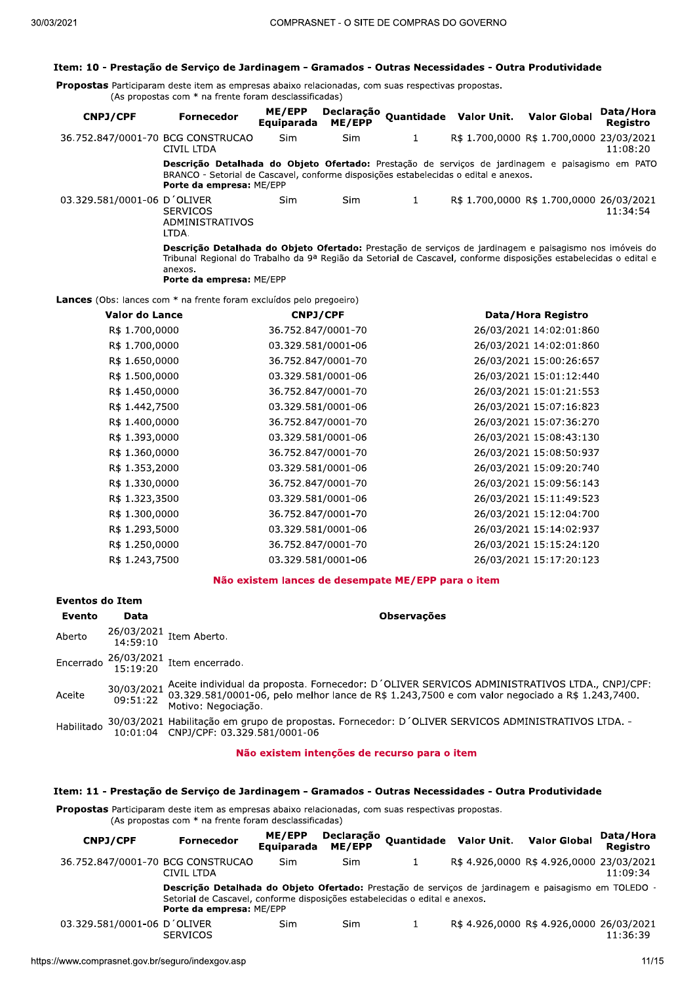#### Item: 10 - Prestação de Serviço de Jardinagem - Gramados - Outras Necessidades - Outra Produtividade

Propostas Participaram deste item as empresas abaixo relacionadas, com suas respectivas propostas. (As propostas com \* na frente foram desclassificadas)

| <b>CNPJ/CPF</b>                   | <b>Fornecedor</b>                                                                                                                                                                                                                                                          | ME/EPP<br>Equiparada | Declaração<br>ME/EPP |   | Quantidade Valor Unit.                   | <b>Valor Global</b> | Data/Hora<br><b>Registro</b> |
|-----------------------------------|----------------------------------------------------------------------------------------------------------------------------------------------------------------------------------------------------------------------------------------------------------------------------|----------------------|----------------------|---|------------------------------------------|---------------------|------------------------------|
| 36.752.847/0001-70 BCG CONSTRUCAO | CIVIL LTDA                                                                                                                                                                                                                                                                 | <b>Sim</b>           | <b>Sim</b>           |   | R\$ 1.700,0000 R\$ 1.700,0000 23/03/2021 |                     | 11:08:20                     |
|                                   | Descrição Detalhada do Objeto Ofertado: Prestação de serviços de jardinagem e paisagismo em PATO<br>BRANCO - Setorial de Cascavel, conforme disposições estabelecidas o edital e anexos.<br>Porte da empresa: ME/EPP                                                       |                      |                      |   |                                          |                     |                              |
| 03.329.581/0001-06 D'OLIVER       | <b>SERVICOS</b><br>ADMINISTRATIVOS<br>LTDA.                                                                                                                                                                                                                                | Sim                  | Sim                  | 1 | R\$ 1.700,0000 R\$ 1.700,0000 26/03/2021 |                     | 11:34:54                     |
|                                   | Descrição Detalhada do Objeto Ofertado: Prestação de serviços de jardinagem e paisagismo nos imóveis do<br>Tribunal Regional do Trabalho da 9ª Região da Setorial de Cascavel, conforme disposições estabelecidas o edital e<br>anexos.<br><b>Porte da empresa: ME/EPP</b> |                      |                      |   |                                          |                     |                              |

Lances (Obs: lances com \* na frente foram excluídos pelo pregoeiro)

| Valor do Lance | <b>CNPJ/CPF</b>    | Data/Hora Registro      |
|----------------|--------------------|-------------------------|
| R\$ 1.700,0000 | 36.752.847/0001-70 | 26/03/2021 14:02:01:860 |
| R\$ 1.700,0000 | 03.329.581/0001-06 | 26/03/2021 14:02:01:860 |
| R\$ 1.650,0000 | 36.752.847/0001-70 | 26/03/2021 15:00:26:657 |
| R\$ 1.500,0000 | 03.329.581/0001-06 | 26/03/2021 15:01:12:440 |
| R\$ 1.450,0000 | 36.752.847/0001-70 | 26/03/2021 15:01:21:553 |
| R\$ 1.442,7500 | 03.329.581/0001-06 | 26/03/2021 15:07:16:823 |
| R\$ 1.400,0000 | 36.752.847/0001-70 | 26/03/2021 15:07:36:270 |
| R\$ 1.393,0000 | 03.329.581/0001-06 | 26/03/2021 15:08:43:130 |
| R\$ 1.360,0000 | 36.752.847/0001-70 | 26/03/2021 15:08:50:937 |
| R\$ 1.353,2000 | 03.329.581/0001-06 | 26/03/2021 15:09:20:740 |
| R\$ 1.330,0000 | 36.752.847/0001-70 | 26/03/2021 15:09:56:143 |
| R\$ 1.323,3500 | 03.329.581/0001-06 | 26/03/2021 15:11:49:523 |
| R\$ 1.300,0000 | 36.752.847/0001-70 | 26/03/2021 15:12:04:700 |
| R\$ 1.293,5000 | 03.329.581/0001-06 | 26/03/2021 15:14:02:937 |
| R\$ 1.250,0000 | 36.752.847/0001-70 | 26/03/2021 15:15:24:120 |
| R\$ 1.243,7500 | 03.329.581/0001-06 | 26/03/2021 15:17:20:123 |

#### Não existem lances de desempate ME/EPP para o item

| Eventos do Item |      |                                                                                                                                                                                                                                              |
|-----------------|------|----------------------------------------------------------------------------------------------------------------------------------------------------------------------------------------------------------------------------------------------|
| Evento          | Data | <b>Observações</b>                                                                                                                                                                                                                           |
| Aberto          |      | 26/03/2021 Item Aberto.<br>14:59:10                                                                                                                                                                                                          |
|                 |      | Encerrado $\frac{26/03/2021}{15 \cdot 19 \cdot 20}$ Item encerrado.                                                                                                                                                                          |
| Aceite          |      | 30/03/2021 Aceite individual da proposta. Fornecedor: D'OLIVER SERVICOS ADMINISTRATIVOS LTDA., CNPJ/CPF:<br>09:51:22 Matter: 581/0001-06, pelo melhor lance de R\$ 1.243,7500 e com valor negociado a R\$ 1.243,7400.<br>Motivo: Negociação. |
| Habilitado      |      | 30/03/2021 Habilitação em grupo de propostas. Fornecedor: D'OLIVER SERVICOS ADMINISTRATIVOS LTDA. -<br>10:01:04 CNPJ/CPF: 03.329.581/0001-06                                                                                                 |

#### Não existem intenções de recurso para o item

#### Item: 11 - Prestação de Serviço de Jardinagem - Gramados - Outras Necessidades - Outra Produtividade

Propostas Participaram deste item as empresas abaixo relacionadas, com suas respectivas propostas. (As propostas com \* na frente foram desclassificadas)

| <b>CNPJ/CPF</b>                   | <b>Fornecedor</b>                                                                                                                                                                                               | ME/EPP<br>Equiparada | Declaração<br><b>ME/EPP</b> | Quantidade Valor Unit. Valor Global |                                          | Data/Hora<br>Reaistro |
|-----------------------------------|-----------------------------------------------------------------------------------------------------------------------------------------------------------------------------------------------------------------|----------------------|-----------------------------|-------------------------------------|------------------------------------------|-----------------------|
| 36.752.847/0001-70 BCG CONSTRUCAO | CIVIL LTDA                                                                                                                                                                                                      | Sim                  | Sim                         |                                     | R\$ 4.926,0000 R\$ 4.926,0000 23/03/2021 | 11:09:34              |
|                                   | Descrição Detalhada do Objeto Ofertado: Prestação de serviços de jardinagem e paisagismo em TOLEDO -<br>Setorial de Cascavel, conforme disposições estabelecidas o edital e anexos.<br>Porte da empresa: ME/EPP |                      |                             |                                     |                                          |                       |
| 03.329.581/0001-06 D'OLIVER       | <b>SERVICOS</b>                                                                                                                                                                                                 | Sim                  | Sim                         |                                     | R\$ 4.926,0000 R\$ 4.926,0000 26/03/2021 | 11:36:39              |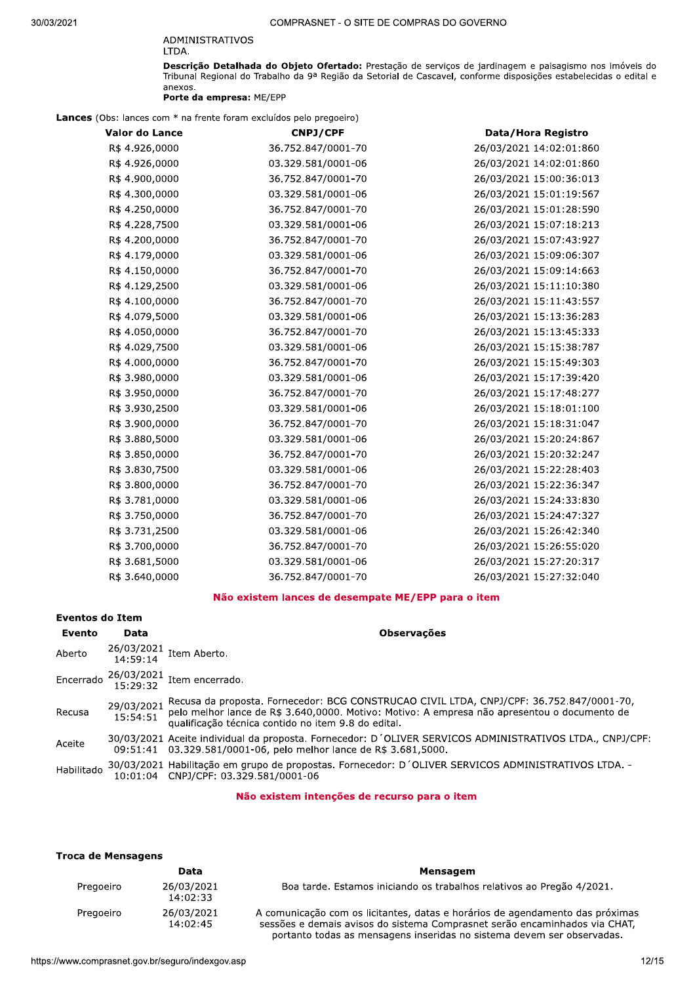#### ADMINISTRATIVOS LTDA.

**Descrição Detalhada do Objeto Ofertado:** Prestação de serviços de jardinagem e paisagismo nos imóveis do<br>Tribunal Regional do Trabalho da 9ª Região da Setorial de Cascavel, conforme disposições estabelecidas o edital e anexos.

Porte da empresa: ME/EPP

Lances (Obs: lances com \* na frente foram excluídos pelo pregoeiro)

| <b>Valor do Lance</b> | <b>CNPJ/CPF</b>    | Data/Hora Registro      |
|-----------------------|--------------------|-------------------------|
| R\$ 4.926,0000        | 36.752.847/0001-70 | 26/03/2021 14:02:01:860 |
| R\$ 4.926,0000        | 03.329.581/0001-06 | 26/03/2021 14:02:01:860 |
| R\$ 4.900,0000        | 36.752.847/0001-70 | 26/03/2021 15:00:36:013 |
| R\$ 4.300,0000        | 03.329.581/0001-06 | 26/03/2021 15:01:19:567 |
| R\$ 4.250,0000        | 36.752.847/0001-70 | 26/03/2021 15:01:28:590 |
| R\$ 4.228,7500        | 03.329.581/0001-06 | 26/03/2021 15:07:18:213 |
| R\$ 4.200,0000        | 36.752.847/0001-70 | 26/03/2021 15:07:43:927 |
| R\$ 4.179,0000        | 03.329.581/0001-06 | 26/03/2021 15:09:06:307 |
| R\$ 4.150,0000        | 36.752.847/0001-70 | 26/03/2021 15:09:14:663 |
| R\$ 4.129,2500        | 03.329.581/0001-06 | 26/03/2021 15:11:10:380 |
| R\$ 4.100,0000        | 36.752.847/0001-70 | 26/03/2021 15:11:43:557 |
| R\$ 4.079,5000        | 03.329.581/0001-06 | 26/03/2021 15:13:36:283 |
| R\$ 4.050,0000        | 36.752.847/0001-70 | 26/03/2021 15:13:45:333 |
| R\$ 4.029,7500        | 03.329.581/0001-06 | 26/03/2021 15:15:38:787 |
| R\$4.000,0000         | 36.752.847/0001-70 | 26/03/2021 15:15:49:303 |
| R\$ 3.980,0000        | 03.329.581/0001-06 | 26/03/2021 15:17:39:420 |
| R\$ 3.950,0000        | 36.752.847/0001-70 | 26/03/2021 15:17:48:277 |
| R\$ 3.930,2500        | 03.329.581/0001-06 | 26/03/2021 15:18:01:100 |
| R\$ 3.900,0000        | 36.752.847/0001-70 | 26/03/2021 15:18:31:047 |
| R\$ 3.880,5000        | 03.329.581/0001-06 | 26/03/2021 15:20:24:867 |
| R\$ 3.850,0000        | 36.752.847/0001-70 | 26/03/2021 15:20:32:247 |
| R\$ 3.830,7500        | 03.329.581/0001-06 | 26/03/2021 15:22:28:403 |
| R\$ 3.800,0000        | 36.752.847/0001-70 | 26/03/2021 15:22:36:347 |
| R\$ 3.781,0000        | 03.329.581/0001-06 | 26/03/2021 15:24:33:830 |
| R\$ 3.750,0000        | 36.752.847/0001-70 | 26/03/2021 15:24:47:327 |
| R\$ 3.731,2500        | 03.329.581/0001-06 | 26/03/2021 15:26:42:340 |
| R\$ 3.700,0000        | 36.752.847/0001-70 | 26/03/2021 15:26:55:020 |
| R\$ 3.681,5000        | 03.329.581/0001-06 | 26/03/2021 15:27:20:317 |
| R\$ 3.640,0000        | 36.752.847/0001-70 | 26/03/2021 15:27:32:040 |

# Não existem lances de desempate ME/EPP para o item

# **Eventos do Item**

| Evento     | Data       | <b>Observações</b>                                                                                                                                                                                                                                       |
|------------|------------|----------------------------------------------------------------------------------------------------------------------------------------------------------------------------------------------------------------------------------------------------------|
| Aberto     |            | $26/03/2021$ Item Aberto.<br>14:59:14                                                                                                                                                                                                                    |
|            |            | Encerrado $\frac{26/03/2021}{15:29:32}$ Item encerrado.                                                                                                                                                                                                  |
| Recusa     | 29/03/2021 | Recusa da proposta. Fornecedor: BCG CONSTRUCAO CIVIL LTDA, CNPJ/CPF: 36.752.847/0001-70,<br>15:54:51 pelo melhor lance de R\$ 3.640,0000. Motivo: Motivo: A empresa não apresentou o documento de<br>qualificação técnica contido no item 9.8 do edital. |
| Aceite     |            | 30/03/2021 Aceite individual da proposta. Fornecedor: D'OLIVER SERVICOS ADMINISTRATIVOS LTDA., CNPJ/CPF:<br>09:51:41 03.329.581/0001-06, pelo melhor lance de R\$ 3.681,5000.                                                                            |
| Habilitado |            | 30/03/2021 Habilitação em grupo de propostas. Fornecedor: D'OLIVER SERVICOS ADMINISTRATIVOS LTDA. -<br>10:01:04 CNPJ/CPF: 03.329.581/0001-06                                                                                                             |

#### Não existem intenções de recurso para o item

#### **Troca de Mensagens**

|           | Data                   | Mensagem                                                                                                                                                                                                                              |
|-----------|------------------------|---------------------------------------------------------------------------------------------------------------------------------------------------------------------------------------------------------------------------------------|
| Pregoeiro | 26/03/2021<br>14:02:33 | Boa tarde. Estamos iniciando os trabalhos relativos ao Pregão 4/2021.                                                                                                                                                                 |
| Pregoeiro | 26/03/2021<br>14:02:45 | A comunicação com os licitantes, datas e horários de agendamento das próximas<br>sessões e demais avisos do sistema Comprasnet serão encaminhados via CHAT,<br>portanto todas as mensagens inseridas no sistema devem ser observadas. |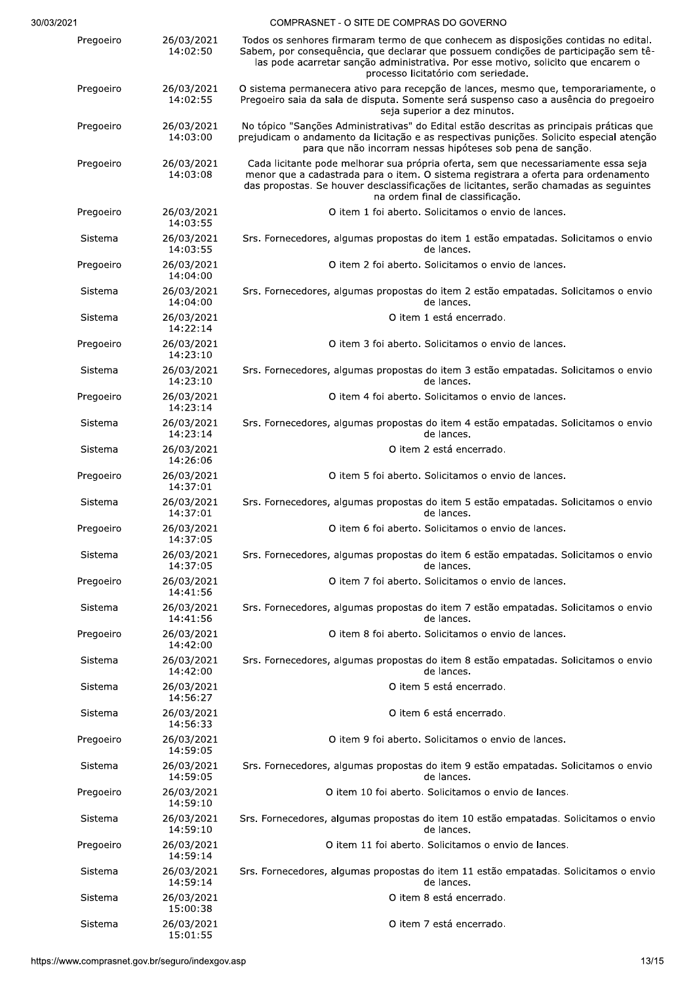|  | COMPRASNET - O SITE DE COMPRAS DO GOVERNO |  |
|--|-------------------------------------------|--|

| Pregoeiro | 26/03/2021<br>14:02:50 | Todos os senhores firmaram termo de que conhecem as disposições contidas no edital.<br>Sabem, por consequência, que declarar que possuem condições de participação sem tê-<br>las pode acarretar sanção administrativa. Por esse motivo, solicito que encarem o<br>processo licitatório com seriedade. |
|-----------|------------------------|--------------------------------------------------------------------------------------------------------------------------------------------------------------------------------------------------------------------------------------------------------------------------------------------------------|
| Pregoeiro | 26/03/2021<br>14:02:55 | O sistema permanecera ativo para recepção de lances, mesmo que, temporariamente, o<br>Pregoeiro saia da sala de disputa. Somente será suspenso caso a ausência do pregoeiro<br>seja superior a dez minutos.                                                                                            |
| Pregoeiro | 26/03/2021<br>14:03:00 | No tópico "Sanções Administrativas" do Edital estão descritas as principais práticas que<br>prejudicam o andamento da licitação e as respectivas punições. Solicito especial atenção<br>para que não incorram nessas hipóteses sob pena de sanção.                                                     |
| Pregoeiro | 26/03/2021<br>14:03:08 | Cada licitante pode melhorar sua própria oferta, sem que necessariamente essa seja<br>menor que a cadastrada para o item. O sistema registrara a oferta para ordenamento<br>das propostas. Se houver desclassificações de licitantes, serão chamadas as seguintes<br>na ordem final de classificação.  |
| Pregoeiro | 26/03/2021<br>14:03:55 | O item 1 foi aberto. Solicitamos o envio de lances.                                                                                                                                                                                                                                                    |
| Sistema   | 26/03/2021<br>14:03:55 | Srs. Fornecedores, algumas propostas do item 1 estão empatadas. Solicitamos o envio<br>de lances.                                                                                                                                                                                                      |
| Pregoeiro | 26/03/2021<br>14:04:00 | O item 2 foi aberto. Solicitamos o envio de lances.                                                                                                                                                                                                                                                    |
| Sistema   | 26/03/2021<br>14:04:00 | Srs. Fornecedores, algumas propostas do item 2 estão empatadas. Solicitamos o envio<br>de lances.                                                                                                                                                                                                      |
| Sistema   | 26/03/2021<br>14:22:14 | O item 1 está encerrado.                                                                                                                                                                                                                                                                               |
| Pregoeiro | 26/03/2021<br>14:23:10 | O item 3 foi aberto. Solicitamos o envio de lances.                                                                                                                                                                                                                                                    |
| Sistema   | 26/03/2021<br>14:23:10 | Srs. Fornecedores, algumas propostas do item 3 estão empatadas. Solicitamos o envio<br>de lances.                                                                                                                                                                                                      |
| Pregoeiro | 26/03/2021<br>14:23:14 | O item 4 foi aberto. Solicitamos o envio de lances.                                                                                                                                                                                                                                                    |
| Sistema   | 26/03/2021<br>14:23:14 | Srs. Fornecedores, algumas propostas do item 4 estão empatadas. Solicitamos o envio<br>de lances.                                                                                                                                                                                                      |
| Sistema   | 26/03/2021<br>14:26:06 | O item 2 está encerrado.                                                                                                                                                                                                                                                                               |
| Pregoeiro | 26/03/2021<br>14:37:01 | O item 5 foi aberto. Solicitamos o envio de lances.                                                                                                                                                                                                                                                    |
| Sistema   | 26/03/2021<br>14:37:01 | Srs. Fornecedores, algumas propostas do item 5 estão empatadas. Solicitamos o envio<br>de lances.                                                                                                                                                                                                      |
| Pregoeiro | 26/03/2021<br>14:37:05 | O item 6 foi aberto. Solicitamos o envio de lances.                                                                                                                                                                                                                                                    |
| Sistema   | 26/03/2021<br>14:37:05 | Srs. Fornecedores, algumas propostas do item 6 estão empatadas. Solicitamos o envio<br>de lances.                                                                                                                                                                                                      |
| Pregoeiro | 26/03/2021<br>14:41:56 | O item 7 foi aberto. Solicitamos o envio de lances.                                                                                                                                                                                                                                                    |
| Sistema   | 26/03/2021<br>14:41:56 | Srs. Fornecedores, algumas propostas do item 7 estão empatadas. Solicitamos o envio<br>de lances.                                                                                                                                                                                                      |
| Pregoeiro | 26/03/2021<br>14:42:00 | O item 8 foi aberto. Solicitamos o envio de lances.                                                                                                                                                                                                                                                    |
| Sistema   | 26/03/2021<br>14:42:00 | Srs. Fornecedores, algumas propostas do item 8 estão empatadas. Solicitamos o envio<br>de lances.                                                                                                                                                                                                      |
| Sistema   | 26/03/2021<br>14:56:27 | O item 5 está encerrado.                                                                                                                                                                                                                                                                               |
| Sistema   | 26/03/2021<br>14:56:33 | O item 6 está encerrado.                                                                                                                                                                                                                                                                               |
| Pregoeiro | 26/03/2021<br>14:59:05 | O item 9 foi aberto. Solicitamos o envio de lances.                                                                                                                                                                                                                                                    |
| Sistema   | 26/03/2021<br>14:59:05 | Srs. Fornecedores, algumas propostas do item 9 estão empatadas. Solicitamos o envio<br>de lances.                                                                                                                                                                                                      |
| Pregoeiro | 26/03/2021<br>14:59:10 | O item 10 foi aberto. Solicitamos o envio de lances.                                                                                                                                                                                                                                                   |
| Sistema   | 26/03/2021<br>14:59:10 | Srs. Fornecedores, algumas propostas do item 10 estão empatadas. Solicitamos o envio<br>de lances.                                                                                                                                                                                                     |
| Pregoeiro | 26/03/2021<br>14:59:14 | O item 11 foi aberto. Solicitamos o envio de lances.                                                                                                                                                                                                                                                   |
| Sistema   | 26/03/2021<br>14:59:14 | Srs. Fornecedores, algumas propostas do item 11 estão empatadas. Solicitamos o envio<br>de lances.                                                                                                                                                                                                     |
| Sistema   | 26/03/2021<br>15:00:38 | O item 8 está encerrado.                                                                                                                                                                                                                                                                               |
| Sistema   | 26/03/2021<br>15:01:55 | O item 7 está encerrado.                                                                                                                                                                                                                                                                               |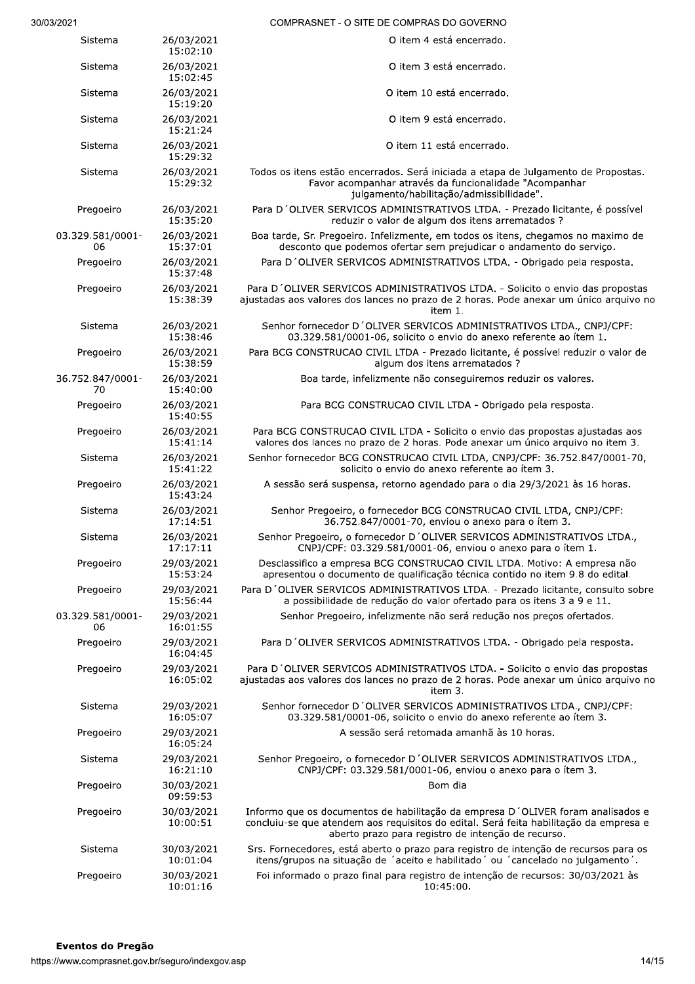| 13/2021                                       |                        | COMPRASNET - O SITE DE COMPRAS DO GOVERNO                                                                                                                                                                                      |      |
|-----------------------------------------------|------------------------|--------------------------------------------------------------------------------------------------------------------------------------------------------------------------------------------------------------------------------|------|
| Sistema                                       | 26/03/2021<br>15:02:10 | O item 4 está encerrado.                                                                                                                                                                                                       |      |
| Sistema                                       | 26/03/2021<br>15:02:45 | O item 3 está encerrado.                                                                                                                                                                                                       |      |
| Sistema                                       | 26/03/2021<br>15:19:20 | O item 10 está encerrado.                                                                                                                                                                                                      |      |
| Sistema                                       | 26/03/2021<br>15:21:24 | O item 9 está encerrado.                                                                                                                                                                                                       |      |
| Sistema                                       | 26/03/2021<br>15:29:32 | O item 11 está encerrado.                                                                                                                                                                                                      |      |
| Sistema                                       | 26/03/2021<br>15:29:32 | Todos os itens estão encerrados. Será iniciada a etapa de Julgamento de Propostas.<br>Favor acompanhar através da funcionalidade "Acompanhar<br>julgamento/habilitação/admissibilidade".                                       |      |
| Pregoeiro                                     | 26/03/2021<br>15:35:20 | Para D'OLIVER SERVICOS ADMINISTRATIVOS LTDA. - Prezado licitante, é possível<br>reduzir o valor de algum dos itens arrematados ?                                                                                               |      |
| 03.329.581/0001-<br>06                        | 26/03/2021<br>15:37:01 | Boa tarde, Sr. Pregoeiro. Infelizmente, em todos os itens, chegamos no maximo de<br>desconto que podemos ofertar sem prejudicar o andamento do serviço.                                                                        |      |
| Pregoeiro                                     | 26/03/2021<br>15:37:48 | Para D'OLIVER SERVICOS ADMINISTRATIVOS LTDA. - Obrigado pela resposta.                                                                                                                                                         |      |
| Pregoeiro                                     | 26/03/2021<br>15:38:39 | Para D'OLIVER SERVICOS ADMINISTRATIVOS LTDA. - Solicito o envio das propostas<br>ajustadas aos valores dos lances no prazo de 2 horas. Pode anexar um único arquivo no<br>item 1.                                              |      |
| Sistema                                       | 26/03/2021<br>15:38:46 | Senhor fornecedor D'OLIVER SERVICOS ADMINISTRATIVOS LTDA., CNPJ/CPF:<br>03.329.581/0001-06, solicito o envio do anexo referente ao ítem 1.                                                                                     |      |
| Pregoeiro                                     | 26/03/2021<br>15:38:59 | Para BCG CONSTRUCAO CIVIL LTDA - Prezado licitante, é possível reduzir o valor de<br>algum dos itens arrematados ?                                                                                                             |      |
| 36.752.847/0001-<br>70                        | 26/03/2021<br>15:40:00 | Boa tarde, infelizmente não conseguiremos reduzir os valores.                                                                                                                                                                  |      |
| Pregoeiro                                     | 26/03/2021<br>15:40:55 | Para BCG CONSTRUCAO CIVIL LTDA - Obrigado pela resposta.                                                                                                                                                                       |      |
| Pregoeiro                                     | 26/03/2021<br>15:41:14 | Para BCG CONSTRUCAO CIVIL LTDA - Solicito o envio das propostas ajustadas aos<br>valores dos lances no prazo de 2 horas. Pode anexar um único arquivo no item 3.                                                               |      |
| Sistema                                       | 26/03/2021<br>15:41:22 | Senhor fornecedor BCG CONSTRUCAO CIVIL LTDA, CNPJ/CPF: 36.752.847/0001-70,<br>solicito o envio do anexo referente ao ítem 3.                                                                                                   |      |
| Pregoeiro                                     | 26/03/2021<br>15:43:24 | A sessão será suspensa, retorno agendado para o dia 29/3/2021 às 16 horas.                                                                                                                                                     |      |
| Sistema                                       | 26/03/2021<br>17:14:51 | Senhor Pregoeiro, o fornecedor BCG CONSTRUCAO CIVIL LTDA, CNPJ/CPF:<br>36.752.847/0001-70, enviou o anexo para o ítem 3.                                                                                                       |      |
| Sistema                                       | 26/03/2021<br>17:17:11 | Senhor Pregoeiro, o fornecedor D'OLIVER SERVICOS ADMINISTRATIVOS LTDA.,<br>CNPJ/CPF: 03.329.581/0001-06, enviou o anexo para o ítem 1.                                                                                         |      |
| Pregoeiro                                     | 29/03/2021<br>15:53:24 | Desclassifico a empresa BCG CONSTRUCAO CIVIL LTDA. Motivo: A empresa não<br>apresentou o documento de qualificação técnica contido no item 9.8 do edital.                                                                      |      |
| Pregoeiro                                     | 29/03/2021<br>15:56:44 | Para D'OLIVER SERVICOS ADMINISTRATIVOS LTDA. - Prezado licitante, consulto sobre<br>a possibilidade de redução do valor ofertado para os itens 3 a 9 e 11.                                                                     |      |
| 03.329.581/0001-<br>06                        | 29/03/2021<br>16:01:55 | Senhor Pregoeiro, infelizmente não será redução nos preços ofertados.                                                                                                                                                          |      |
| Pregoeiro                                     | 29/03/2021<br>16:04:45 | Para D'OLIVER SERVICOS ADMINISTRATIVOS LTDA. - Obrigado pela resposta.                                                                                                                                                         |      |
| Pregoeiro                                     | 29/03/2021<br>16:05:02 | Para D'OLIVER SERVICOS ADMINISTRATIVOS LTDA. - Solicito o envio das propostas<br>ajustadas aos valores dos lances no prazo de 2 horas. Pode anexar um único arquivo no<br>item 3.                                              |      |
| Sistema                                       | 29/03/2021<br>16:05:07 | Senhor fornecedor D'OLIVER SERVICOS ADMINISTRATIVOS LTDA., CNPJ/CPF:<br>03.329.581/0001-06, solicito o envio do anexo referente ao ítem 3.                                                                                     |      |
| Pregoeiro                                     | 29/03/2021<br>16:05:24 | A sessão será retomada amanhã às 10 horas.                                                                                                                                                                                     |      |
| Sistema                                       | 29/03/2021<br>16:21:10 | Senhor Pregoeiro, o fornecedor D'OLIVER SERVICOS ADMINISTRATIVOS LTDA.,<br>CNPJ/CPF: 03.329.581/0001-06, enviou o anexo para o ítem 3.                                                                                         |      |
| Pregoeiro                                     | 30/03/2021<br>09:59:53 | Bom dia                                                                                                                                                                                                                        |      |
| Pregoeiro                                     | 30/03/2021<br>10:00:51 | Informo que os documentos de habilitação da empresa D'OLIVER foram analisados e<br>concluiu-se que atendem aos requisitos do edital. Será feita habilitação da empresa e<br>aberto prazo para registro de intenção de recurso. |      |
| Sistema                                       | 30/03/2021<br>10:01:04 | Srs. Fornecedores, está aberto o prazo para registro de intenção de recursos para os<br>itens/grupos na situação de 'aceito e habilitado' ou 'cancelado no julgamento'.                                                        |      |
| Pregoeiro                                     | 30/03/2021<br>10:01:16 | Foi informado o prazo final para registro de intenção de recursos: 30/03/2021 às<br>10:45:00.                                                                                                                                  |      |
| Eventos do Pregão                             |                        |                                                                                                                                                                                                                                |      |
| s://www.comprasnet.gov.br/seguro/indexgov.asp |                        |                                                                                                                                                                                                                                | 14/1 |
|                                               |                        |                                                                                                                                                                                                                                |      |
|                                               |                        |                                                                                                                                                                                                                                |      |
|                                               |                        |                                                                                                                                                                                                                                |      |